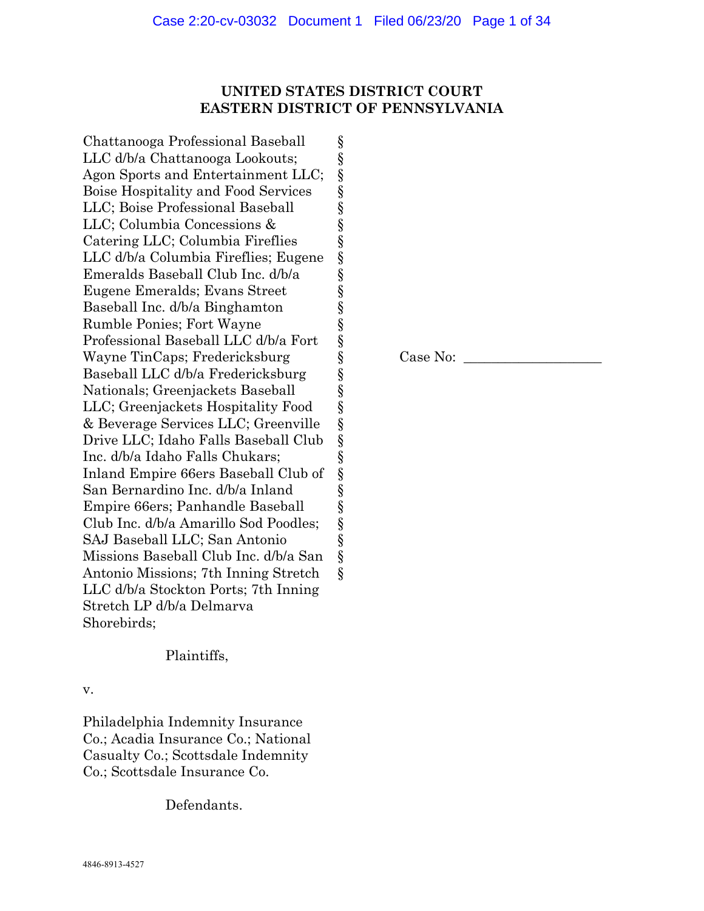# **UNITED STATES DISTRICT COURT EASTERN DISTRICT OF PENNSYLVANIA**

§ § § § § § § § § § § § § § § § § § § § § § § § § § §

Chattanooga Professional Baseball LLC d/b/a Chattanooga Lookouts; Agon Sports and Entertainment LLC; Boise Hospitality and Food Services LLC; Boise Professional Baseball LLC; Columbia Concessions & Catering LLC; Columbia Fireflies LLC d/b/a Columbia Fireflies; Eugene Emeralds Baseball Club Inc. d/b/a Eugene Emeralds; Evans Street Baseball Inc. d/b/a Binghamton Rumble Ponies; Fort Wayne Professional Baseball LLC d/b/a Fort Wayne TinCaps; Fredericksburg Baseball LLC d/b/a Fredericksburg Nationals; Greenjackets Baseball LLC; Greenjackets Hospitality Food & Beverage Services LLC; Greenville Drive LLC; Idaho Falls Baseball Club Inc. d/b/a Idaho Falls Chukars; Inland Empire 66ers Baseball Club of San Bernardino Inc. d/b/a Inland Empire 66ers; Panhandle Baseball Club Inc. d/b/a Amarillo Sod Poodles; SAJ Baseball LLC; San Antonio Missions Baseball Club Inc. d/b/a San Antonio Missions; 7th Inning Stretch LLC d/b/a Stockton Ports; 7th Inning Stretch LP d/b/a Delmarva Shorebirds;

# Plaintiffs,

v.

Philadelphia Indemnity Insurance Co.; Acadia Insurance Co.; National Casualty Co.; Scottsdale Indemnity Co.; Scottsdale Insurance Co.

Defendants.

 $Case No:$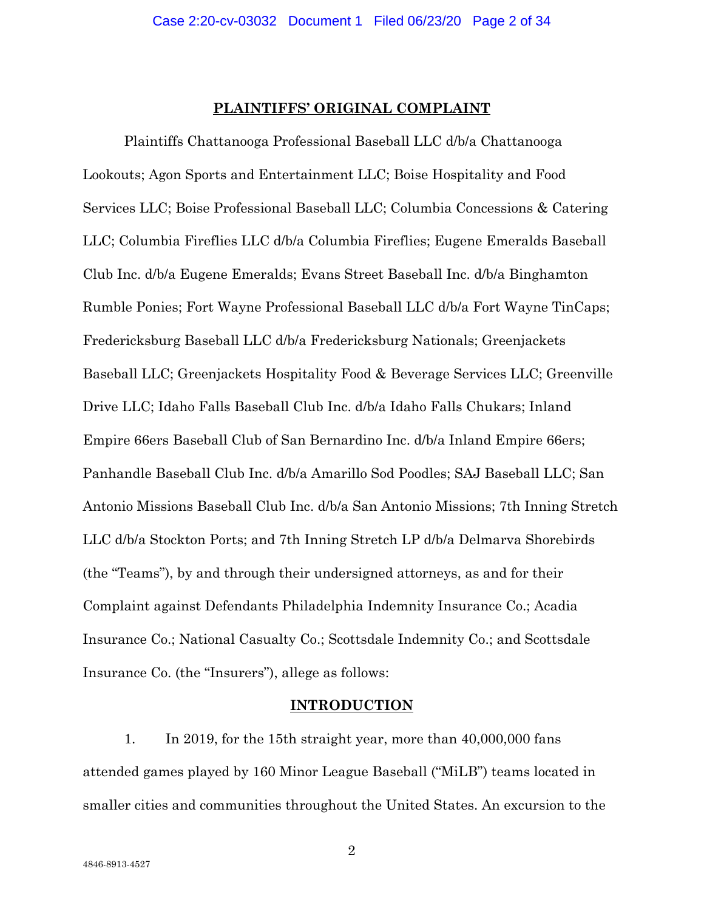### **PLAINTIFFS' ORIGINAL COMPLAINT**

Plaintiffs Chattanooga Professional Baseball LLC d/b/a Chattanooga Lookouts; Agon Sports and Entertainment LLC; Boise Hospitality and Food Services LLC; Boise Professional Baseball LLC; Columbia Concessions & Catering LLC; Columbia Fireflies LLC d/b/a Columbia Fireflies; Eugene Emeralds Baseball Club Inc. d/b/a Eugene Emeralds; Evans Street Baseball Inc. d/b/a Binghamton Rumble Ponies; Fort Wayne Professional Baseball LLC d/b/a Fort Wayne TinCaps; Fredericksburg Baseball LLC d/b/a Fredericksburg Nationals; Greenjackets Baseball LLC; Greenjackets Hospitality Food & Beverage Services LLC; Greenville Drive LLC; Idaho Falls Baseball Club Inc. d/b/a Idaho Falls Chukars; Inland Empire 66ers Baseball Club of San Bernardino Inc. d/b/a Inland Empire 66ers; Panhandle Baseball Club Inc. d/b/a Amarillo Sod Poodles; SAJ Baseball LLC; San Antonio Missions Baseball Club Inc. d/b/a San Antonio Missions; 7th Inning Stretch LLC d/b/a Stockton Ports; and 7th Inning Stretch LP d/b/a Delmarva Shorebirds (the "Teams"), by and through their undersigned attorneys, as and for their Complaint against Defendants Philadelphia Indemnity Insurance Co.; Acadia Insurance Co.; National Casualty Co.; Scottsdale Indemnity Co.; and Scottsdale Insurance Co. (the "Insurers"), allege as follows:

#### **INTRODUCTION**

1. In 2019, for the 15th straight year, more than 40,000,000 fans attended games played by 160 Minor League Baseball ("MiLB") teams located in smaller cities and communities throughout the United States. An excursion to the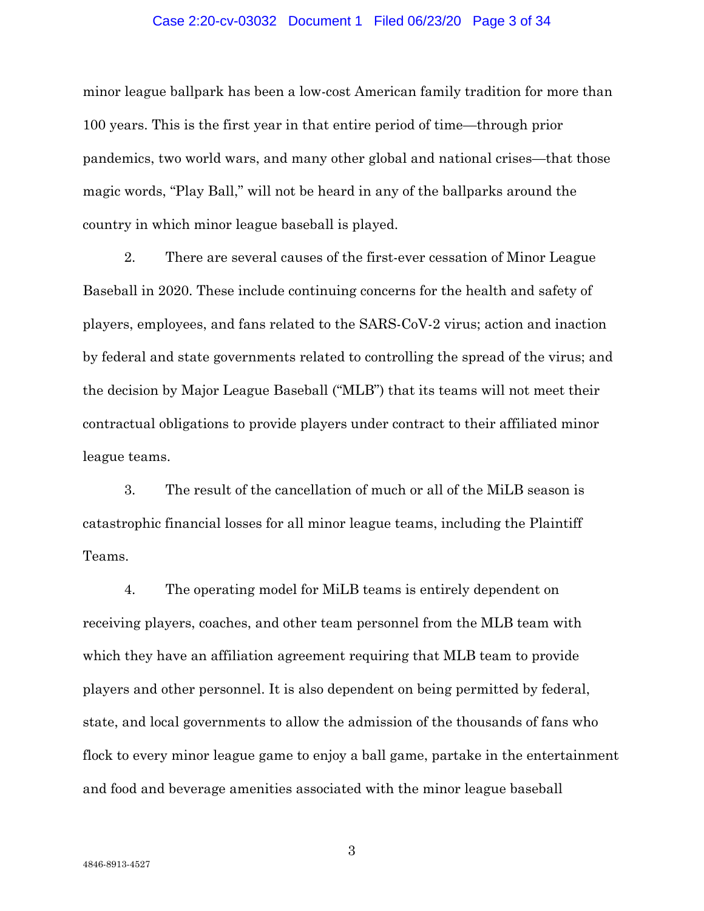### Case 2:20-cv-03032 Document 1 Filed 06/23/20 Page 3 of 34

minor league ballpark has been a low-cost American family tradition for more than 100 years. This is the first year in that entire period of time—through prior pandemics, two world wars, and many other global and national crises—that those magic words, "Play Ball," will not be heard in any of the ballparks around the country in which minor league baseball is played.

2. There are several causes of the first-ever cessation of Minor League Baseball in 2020. These include continuing concerns for the health and safety of players, employees, and fans related to the SARS-CoV-2 virus; action and inaction by federal and state governments related to controlling the spread of the virus; and the decision by Major League Baseball ("MLB") that its teams will not meet their contractual obligations to provide players under contract to their affiliated minor league teams.

3. The result of the cancellation of much or all of the MiLB season is catastrophic financial losses for all minor league teams, including the Plaintiff Teams.

4. The operating model for MiLB teams is entirely dependent on receiving players, coaches, and other team personnel from the MLB team with which they have an affiliation agreement requiring that MLB team to provide players and other personnel. It is also dependent on being permitted by federal, state, and local governments to allow the admission of the thousands of fans who flock to every minor league game to enjoy a ball game, partake in the entertainment and food and beverage amenities associated with the minor league baseball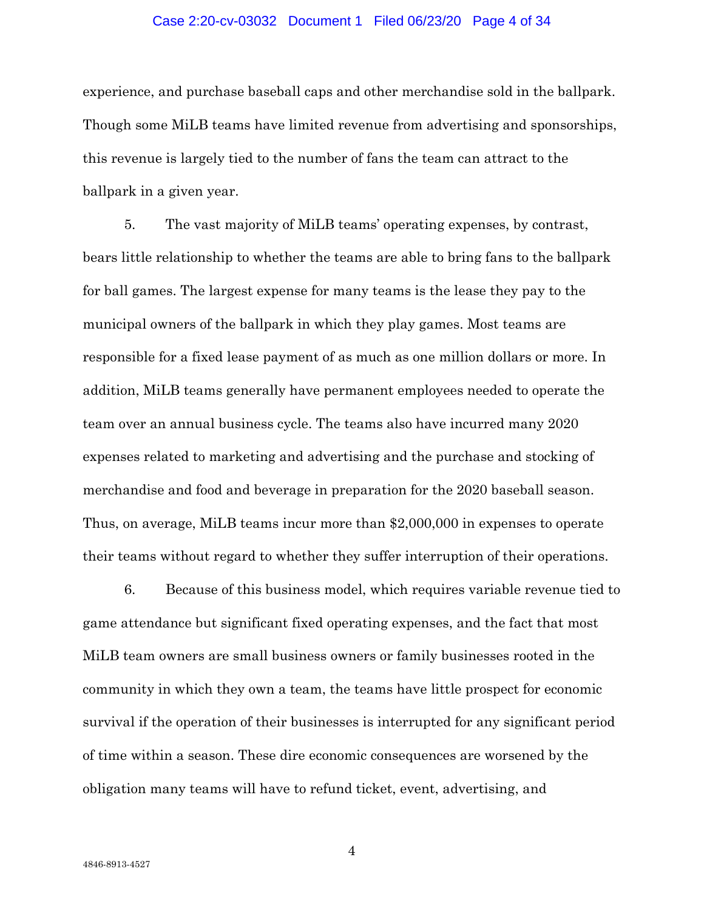#### Case 2:20-cv-03032 Document 1 Filed 06/23/20 Page 4 of 34

experience, and purchase baseball caps and other merchandise sold in the ballpark. Though some MiLB teams have limited revenue from advertising and sponsorships, this revenue is largely tied to the number of fans the team can attract to the ballpark in a given year.

5. The vast majority of MiLB teams' operating expenses, by contrast, bears little relationship to whether the teams are able to bring fans to the ballpark for ball games. The largest expense for many teams is the lease they pay to the municipal owners of the ballpark in which they play games. Most teams are responsible for a fixed lease payment of as much as one million dollars or more. In addition, MiLB teams generally have permanent employees needed to operate the team over an annual business cycle. The teams also have incurred many 2020 expenses related to marketing and advertising and the purchase and stocking of merchandise and food and beverage in preparation for the 2020 baseball season. Thus, on average, MiLB teams incur more than \$2,000,000 in expenses to operate their teams without regard to whether they suffer interruption of their operations.

6. Because of this business model, which requires variable revenue tied to game attendance but significant fixed operating expenses, and the fact that most MiLB team owners are small business owners or family businesses rooted in the community in which they own a team, the teams have little prospect for economic survival if the operation of their businesses is interrupted for any significant period of time within a season. These dire economic consequences are worsened by the obligation many teams will have to refund ticket, event, advertising, and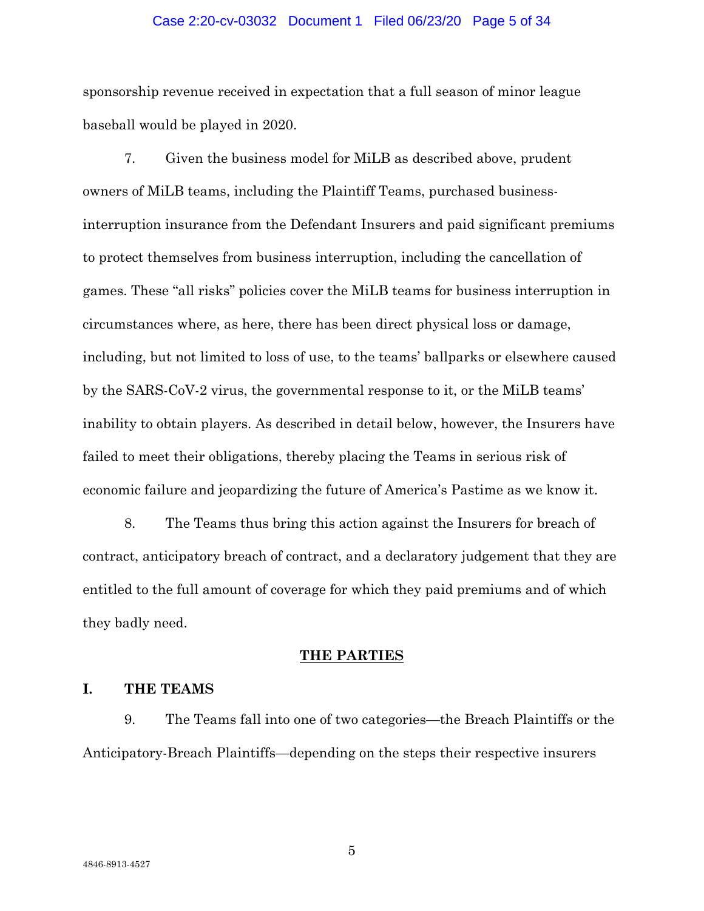#### Case 2:20-cv-03032 Document 1 Filed 06/23/20 Page 5 of 34

sponsorship revenue received in expectation that a full season of minor league baseball would be played in 2020.

7. Given the business model for MiLB as described above, prudent owners of MiLB teams, including the Plaintiff Teams, purchased businessinterruption insurance from the Defendant Insurers and paid significant premiums to protect themselves from business interruption, including the cancellation of games. These "all risks" policies cover the MiLB teams for business interruption in circumstances where, as here, there has been direct physical loss or damage, including, but not limited to loss of use, to the teams' ballparks or elsewhere caused by the SARS-CoV-2 virus, the governmental response to it, or the MiLB teams' inability to obtain players. As described in detail below, however, the Insurers have failed to meet their obligations, thereby placing the Teams in serious risk of economic failure and jeopardizing the future of America's Pastime as we know it.

8. The Teams thus bring this action against the Insurers for breach of contract, anticipatory breach of contract, and a declaratory judgement that they are entitled to the full amount of coverage for which they paid premiums and of which they badly need.

# **THE PARTIES**

# **I. THE TEAMS**

9. The Teams fall into one of two categories—the Breach Plaintiffs or the Anticipatory-Breach Plaintiffs—depending on the steps their respective insurers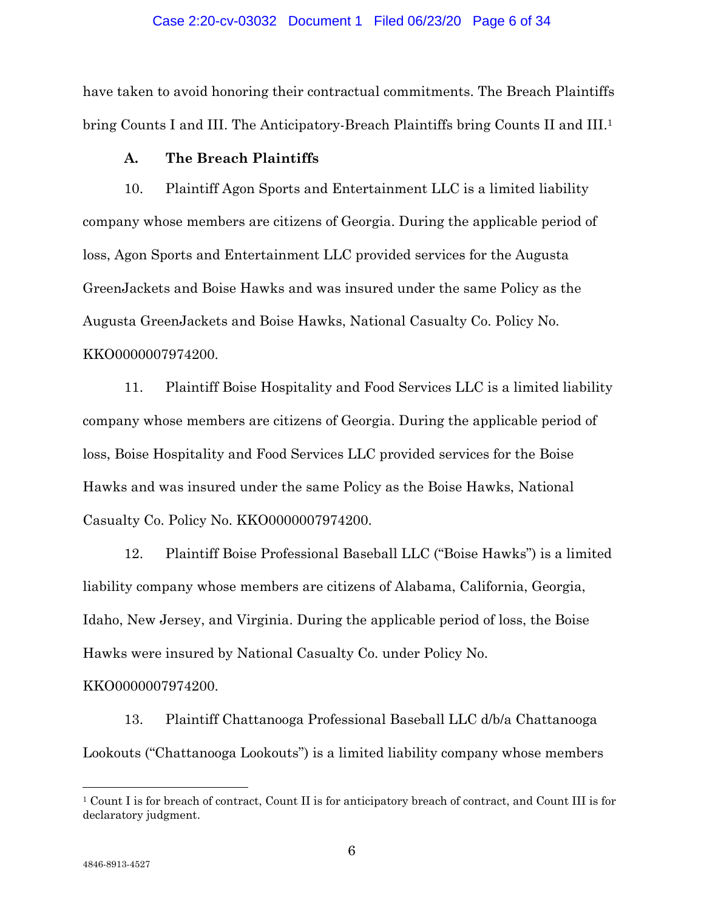#### Case 2:20-cv-03032 Document 1 Filed 06/23/20 Page 6 of 34

have taken to avoid honoring their contractual commitments. The Breach Plaintiffs bring Counts I and III. The Anticipatory-Breach Plaintiffs bring Counts II and III.1

# **A. The Breach Plaintiffs**

10. Plaintiff Agon Sports and Entertainment LLC is a limited liability company whose members are citizens of Georgia. During the applicable period of loss, Agon Sports and Entertainment LLC provided services for the Augusta GreenJackets and Boise Hawks and was insured under the same Policy as the Augusta GreenJackets and Boise Hawks, National Casualty Co. Policy No. KKO0000007974200.

11. Plaintiff Boise Hospitality and Food Services LLC is a limited liability company whose members are citizens of Georgia. During the applicable period of loss, Boise Hospitality and Food Services LLC provided services for the Boise Hawks and was insured under the same Policy as the Boise Hawks, National Casualty Co. Policy No. KKO0000007974200.

12. Plaintiff Boise Professional Baseball LLC ("Boise Hawks") is a limited liability company whose members are citizens of Alabama, California, Georgia, Idaho, New Jersey, and Virginia. During the applicable period of loss, the Boise Hawks were insured by National Casualty Co. under Policy No.

#### KKO0000007974200.

13. Plaintiff Chattanooga Professional Baseball LLC d/b/a Chattanooga Lookouts ("Chattanooga Lookouts") is a limited liability company whose members

<sup>1</sup> Count I is for breach of contract, Count II is for anticipatory breach of contract, and Count III is for declaratory judgment.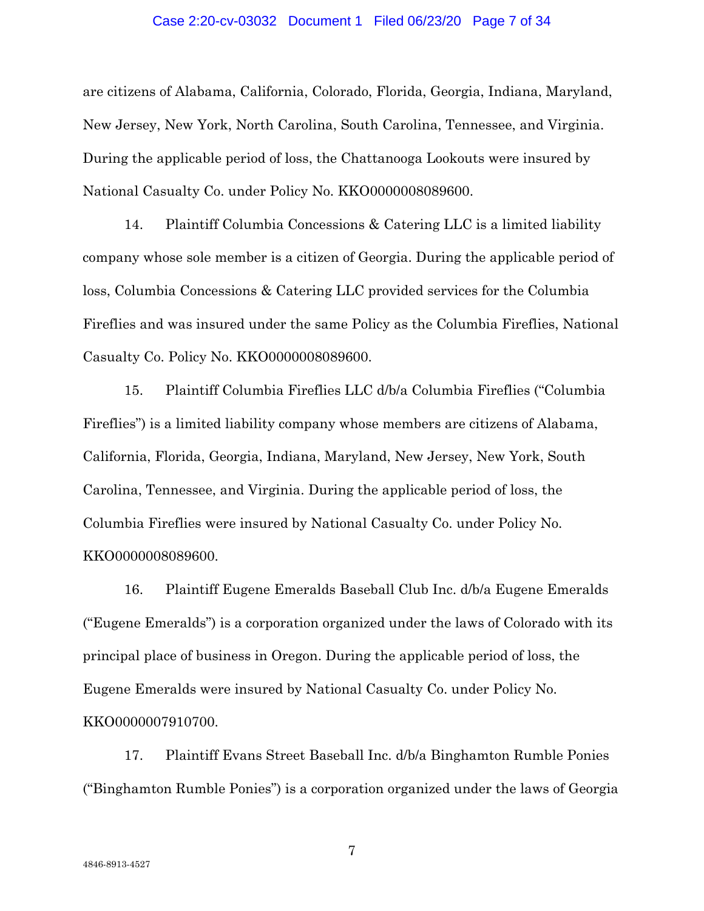#### Case 2:20-cv-03032 Document 1 Filed 06/23/20 Page 7 of 34

are citizens of Alabama, California, Colorado, Florida, Georgia, Indiana, Maryland, New Jersey, New York, North Carolina, South Carolina, Tennessee, and Virginia. During the applicable period of loss, the Chattanooga Lookouts were insured by National Casualty Co. under Policy No. KKO0000008089600.

14. Plaintiff Columbia Concessions & Catering LLC is a limited liability company whose sole member is a citizen of Georgia. During the applicable period of loss, Columbia Concessions & Catering LLC provided services for the Columbia Fireflies and was insured under the same Policy as the Columbia Fireflies, National Casualty Co. Policy No. KKO0000008089600.

15. Plaintiff Columbia Fireflies LLC d/b/a Columbia Fireflies ("Columbia Fireflies") is a limited liability company whose members are citizens of Alabama, California, Florida, Georgia, Indiana, Maryland, New Jersey, New York, South Carolina, Tennessee, and Virginia. During the applicable period of loss, the Columbia Fireflies were insured by National Casualty Co. under Policy No. KKO0000008089600.

16. Plaintiff Eugene Emeralds Baseball Club Inc. d/b/a Eugene Emeralds ("Eugene Emeralds") is a corporation organized under the laws of Colorado with its principal place of business in Oregon. During the applicable period of loss, the Eugene Emeralds were insured by National Casualty Co. under Policy No. KKO0000007910700.

17. Plaintiff Evans Street Baseball Inc. d/b/a Binghamton Rumble Ponies ("Binghamton Rumble Ponies") is a corporation organized under the laws of Georgia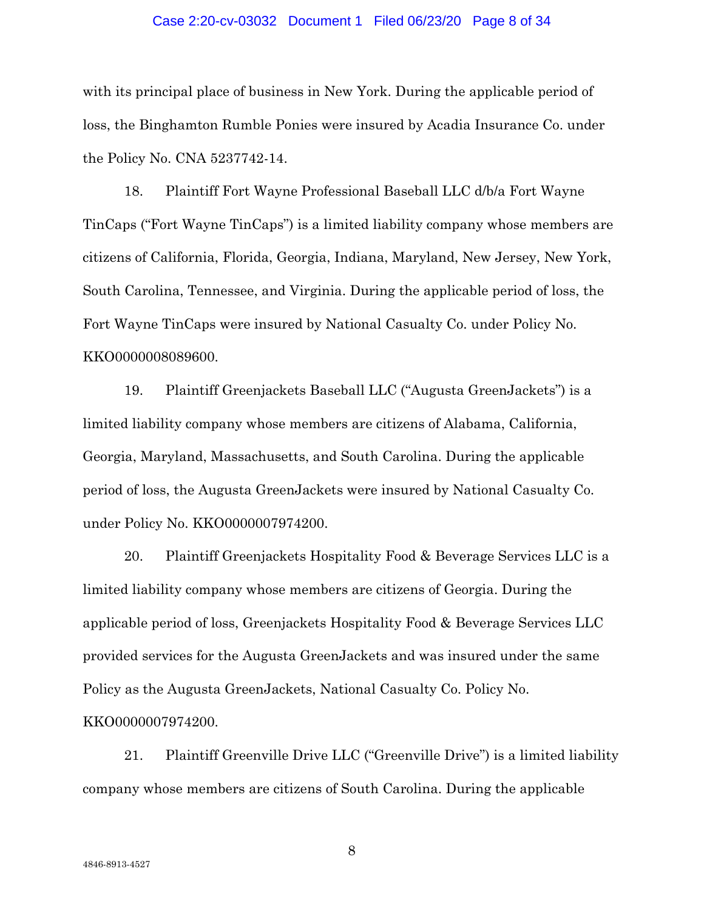#### Case 2:20-cv-03032 Document 1 Filed 06/23/20 Page 8 of 34

with its principal place of business in New York. During the applicable period of loss, the Binghamton Rumble Ponies were insured by Acadia Insurance Co. under the Policy No. CNA 5237742-14.

18. Plaintiff Fort Wayne Professional Baseball LLC d/b/a Fort Wayne TinCaps ("Fort Wayne TinCaps") is a limited liability company whose members are citizens of California, Florida, Georgia, Indiana, Maryland, New Jersey, New York, South Carolina, Tennessee, and Virginia. During the applicable period of loss, the Fort Wayne TinCaps were insured by National Casualty Co. under Policy No. KKO0000008089600.

19. Plaintiff Greenjackets Baseball LLC ("Augusta GreenJackets") is a limited liability company whose members are citizens of Alabama, California, Georgia, Maryland, Massachusetts, and South Carolina. During the applicable period of loss, the Augusta GreenJackets were insured by National Casualty Co. under Policy No. KKO0000007974200.

20. Plaintiff Greenjackets Hospitality Food & Beverage Services LLC is a limited liability company whose members are citizens of Georgia. During the applicable period of loss, Greenjackets Hospitality Food & Beverage Services LLC provided services for the Augusta GreenJackets and was insured under the same Policy as the Augusta GreenJackets, National Casualty Co. Policy No. KKO0000007974200.

21. Plaintiff Greenville Drive LLC ("Greenville Drive") is a limited liability company whose members are citizens of South Carolina. During the applicable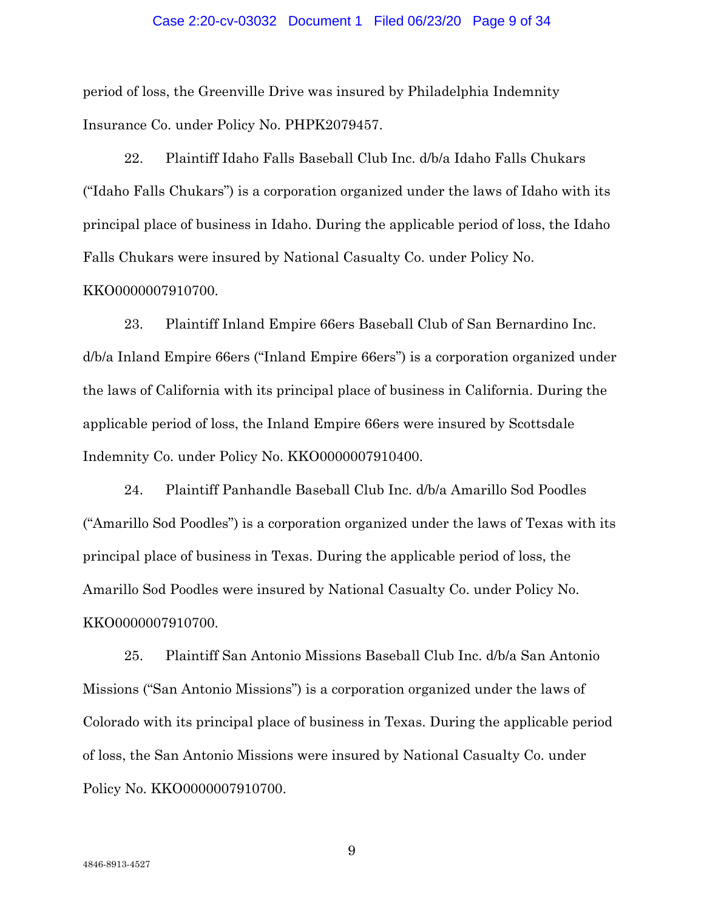#### Case 2:20-cv-03032 Document 1 Filed 06/23/20 Page 9 of 34

period of loss, the Greenville Drive was insured by Philadelphia Indemnity Insurance Co. under Policy No. PHPK2079457.

22. Plaintiff Idaho Falls Baseball Club Inc. d/b/a Idaho Falls Chukars ("Idaho Falls Chukars") is a corporation organized under the laws of Idaho with its principal place of business in Idaho. During the applicable period of loss, the Idaho Falls Chukars were insured by National Casualty Co. under Policy No.

# KKO0000007910700.

23. Plaintiff Inland Empire 66ers Baseball Club of San Bernardino Inc. d/b/a Inland Empire 66ers ("Inland Empire 66ers") is a corporation organized under the laws of California with its principal place of business in California. During the applicable period of loss, the Inland Empire 66ers were insured by Scottsdale Indemnity Co. under Policy No. KKO0000007910400.

24. Plaintiff Panhandle Baseball Club Inc. d/b/a Amarillo Sod Poodles ("Amarillo Sod Poodles") is a corporation organized under the laws of Texas with its principal place of business in Texas. During the applicable period of loss, the Amarillo Sod Poodles were insured by National Casualty Co. under Policy No. KKO0000007910700.

25. Plaintiff San Antonio Missions Baseball Club Inc. d/b/a San Antonio Missions ("San Antonio Missions") is a corporation organized under the laws of Colorado with its principal place of business in Texas. During the applicable period of loss, the San Antonio Missions were insured by National Casualty Co. under Policy No. KKO0000007910700.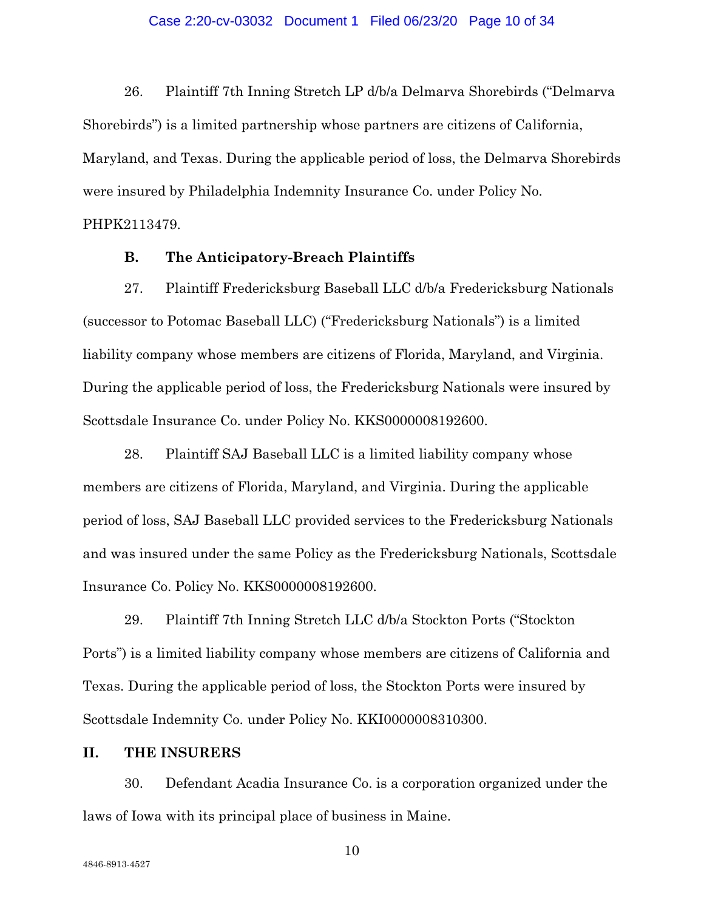### Case 2:20-cv-03032 Document 1 Filed 06/23/20 Page 10 of 34

26. Plaintiff 7th Inning Stretch LP d/b/a Delmarva Shorebirds ("Delmarva Shorebirds") is a limited partnership whose partners are citizens of California, Maryland, and Texas. During the applicable period of loss, the Delmarva Shorebirds were insured by Philadelphia Indemnity Insurance Co. under Policy No.

PHPK2113479.

# **B. The Anticipatory-Breach Plaintiffs**

27. Plaintiff Fredericksburg Baseball LLC d/b/a Fredericksburg Nationals (successor to Potomac Baseball LLC) ("Fredericksburg Nationals") is a limited liability company whose members are citizens of Florida, Maryland, and Virginia. During the applicable period of loss, the Fredericksburg Nationals were insured by Scottsdale Insurance Co. under Policy No. KKS0000008192600.

28. Plaintiff SAJ Baseball LLC is a limited liability company whose members are citizens of Florida, Maryland, and Virginia. During the applicable period of loss, SAJ Baseball LLC provided services to the Fredericksburg Nationals and was insured under the same Policy as the Fredericksburg Nationals, Scottsdale Insurance Co. Policy No. KKS0000008192600.

29. Plaintiff 7th Inning Stretch LLC d/b/a Stockton Ports ("Stockton Ports") is a limited liability company whose members are citizens of California and Texas. During the applicable period of loss, the Stockton Ports were insured by Scottsdale Indemnity Co. under Policy No. KKI0000008310300.

# **II. THE INSURERS**

30. Defendant Acadia Insurance Co. is a corporation organized under the laws of Iowa with its principal place of business in Maine.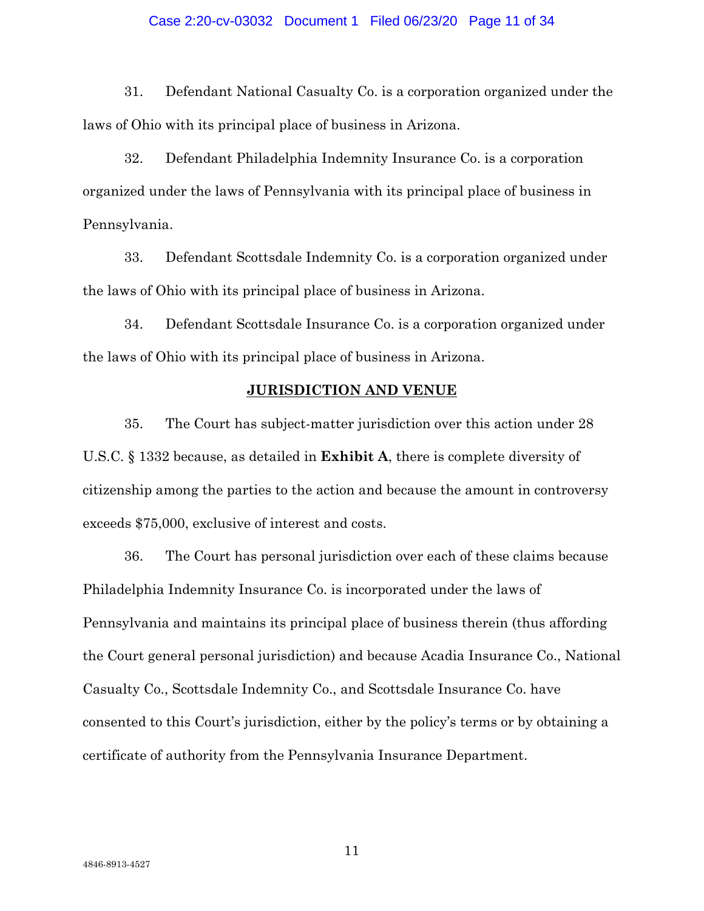### Case 2:20-cv-03032 Document 1 Filed 06/23/20 Page 11 of 34

31. Defendant National Casualty Co. is a corporation organized under the laws of Ohio with its principal place of business in Arizona.

32. Defendant Philadelphia Indemnity Insurance Co. is a corporation organized under the laws of Pennsylvania with its principal place of business in Pennsylvania.

33. Defendant Scottsdale Indemnity Co. is a corporation organized under the laws of Ohio with its principal place of business in Arizona.

34. Defendant Scottsdale Insurance Co. is a corporation organized under the laws of Ohio with its principal place of business in Arizona.

# **JURISDICTION AND VENUE**

35. The Court has subject-matter jurisdiction over this action under 28 U.S.C. § 1332 because, as detailed in **Exhibit A**, there is complete diversity of citizenship among the parties to the action and because the amount in controversy exceeds \$75,000, exclusive of interest and costs.

36. The Court has personal jurisdiction over each of these claims because Philadelphia Indemnity Insurance Co. is incorporated under the laws of Pennsylvania and maintains its principal place of business therein (thus affording the Court general personal jurisdiction) and because Acadia Insurance Co., National Casualty Co., Scottsdale Indemnity Co., and Scottsdale Insurance Co. have consented to this Court's jurisdiction, either by the policy's terms or by obtaining a certificate of authority from the Pennsylvania Insurance Department.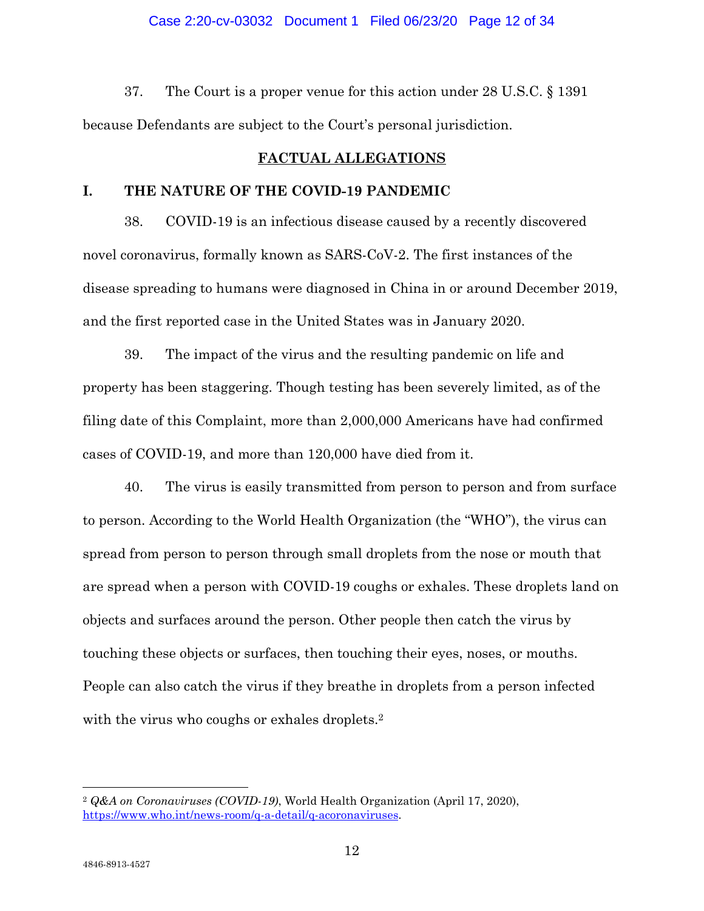## Case 2:20-cv-03032 Document 1 Filed 06/23/20 Page 12 of 34

37. The Court is a proper venue for this action under 28 U.S.C. § 1391 because Defendants are subject to the Court's personal jurisdiction.

# **FACTUAL ALLEGATIONS**

# **I. THE NATURE OF THE COVID-19 PANDEMIC**

38. COVID-19 is an infectious disease caused by a recently discovered novel coronavirus, formally known as SARS-CoV-2. The first instances of the disease spreading to humans were diagnosed in China in or around December 2019, and the first reported case in the United States was in January 2020.

39. The impact of the virus and the resulting pandemic on life and property has been staggering. Though testing has been severely limited, as of the filing date of this Complaint, more than 2,000,000 Americans have had confirmed cases of COVID-19, and more than 120,000 have died from it.

40. The virus is easily transmitted from person to person and from surface to person. According to the World Health Organization (the "WHO"), the virus can spread from person to person through small droplets from the nose or mouth that are spread when a person with COVID-19 coughs or exhales. These droplets land on objects and surfaces around the person. Other people then catch the virus by touching these objects or surfaces, then touching their eyes, noses, or mouths. People can also catch the virus if they breathe in droplets from a person infected with the virus who coughs or exhales droplets.<sup>2</sup>

<sup>2</sup> *Q&A on Coronaviruses (COVID-19)*, World Health Organization (April 17, 2020), https://www.who.int/news-room/q-a-detail/q-acoronaviruses.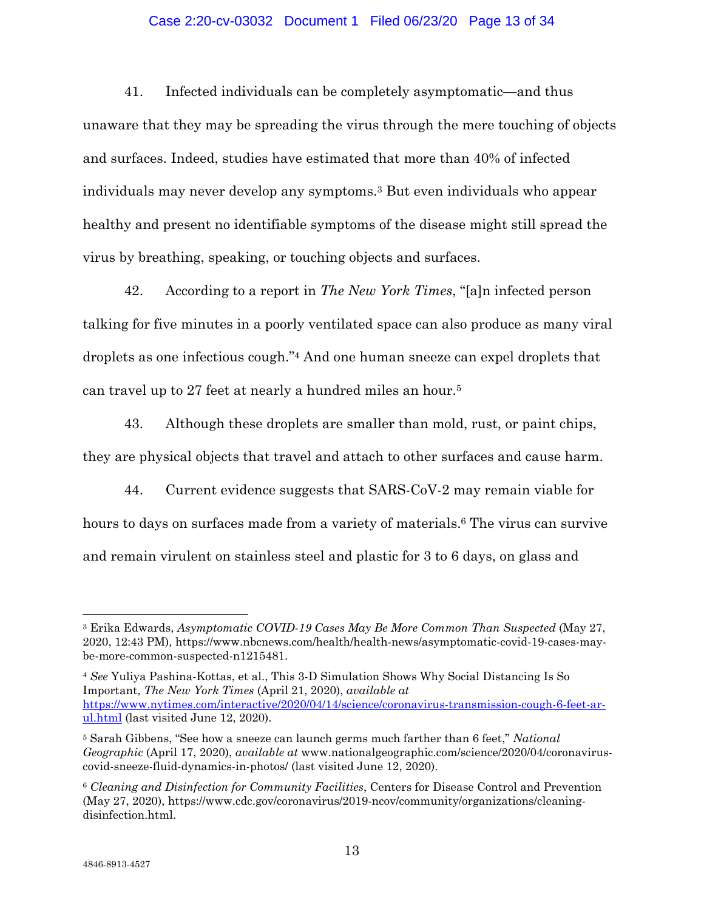# Case 2:20-cv-03032 Document 1 Filed 06/23/20 Page 13 of 34

41. Infected individuals can be completely asymptomatic—and thus unaware that they may be spreading the virus through the mere touching of objects and surfaces. Indeed, studies have estimated that more than 40% of infected individuals may never develop any symptoms.3 But even individuals who appear healthy and present no identifiable symptoms of the disease might still spread the virus by breathing, speaking, or touching objects and surfaces.

42. According to a report in *The New York Times*, "[a]n infected person talking for five minutes in a poorly ventilated space can also produce as many viral droplets as one infectious cough."4 And one human sneeze can expel droplets that can travel up to 27 feet at nearly a hundred miles an hour.5

43. Although these droplets are smaller than mold, rust, or paint chips, they are physical objects that travel and attach to other surfaces and cause harm.

44. Current evidence suggests that SARS-CoV-2 may remain viable for hours to days on surfaces made from a variety of materials.<sup>6</sup> The virus can survive and remain virulent on stainless steel and plastic for 3 to 6 days, on glass and

<sup>3</sup> Erika Edwards, *Asymptomatic COVID-19 Cases May Be More Common Than Suspected* (May 27, 2020, 12:43 PM)*,* https://www.nbcnews.com/health/health-news/asymptomatic-covid-19-cases-maybe-more-common-suspected-n1215481.

<sup>4</sup> *See* Yuliya Pashina-Kottas, et al., This 3-D Simulation Shows Why Social Distancing Is So Important, *The New York Times* (April 21, 2020), *available at*  https://www.nytimes.com/interactive/2020/04/14/science/coronavirus-transmission-cough-6-feet-arul.html (last visited June 12, 2020).

<sup>5</sup> Sarah Gibbens, "See how a sneeze can launch germs much farther than 6 feet," *National Geographic* (April 17, 2020), *available at* www.nationalgeographic.com/science/2020/04/coronaviruscovid-sneeze-fluid-dynamics-in-photos/ (last visited June 12, 2020).

<sup>6</sup> *Cleaning and Disinfection for Community Facilities*, Centers for Disease Control and Prevention (May 27, 2020), https://www.cdc.gov/coronavirus/2019-ncov/community/organizations/cleaningdisinfection.html.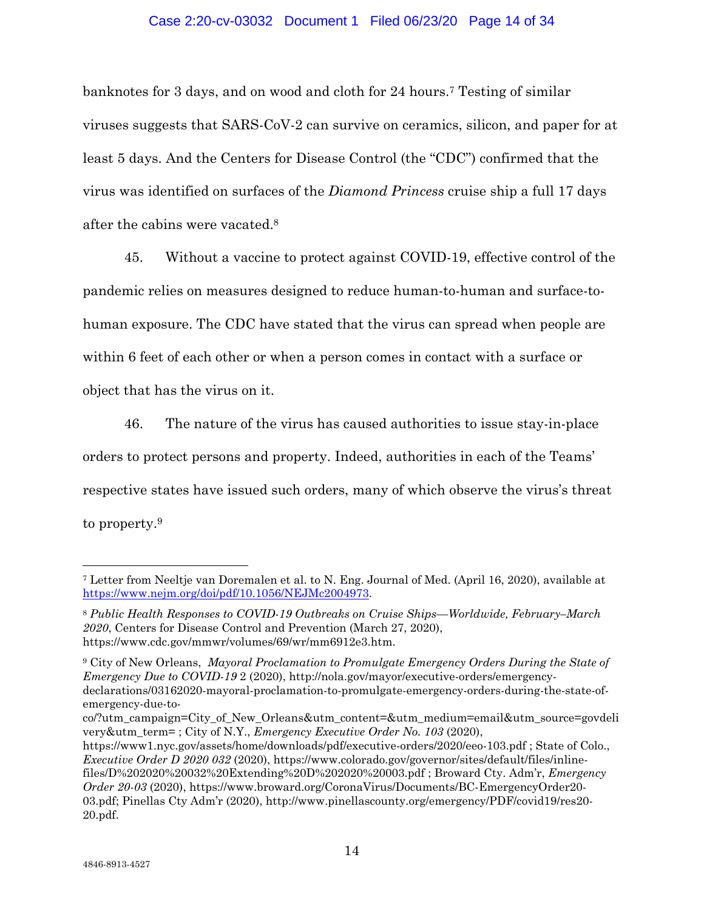# Case 2:20-cv-03032 Document 1 Filed 06/23/20 Page 14 of 34

banknotes for 3 days, and on wood and cloth for 24 hours.7 Testing of similar viruses suggests that SARS-CoV-2 can survive on ceramics, silicon, and paper for at least 5 days. And the Centers for Disease Control (the "CDC") confirmed that the virus was identified on surfaces of the *Diamond Princess* cruise ship a full 17 days after the cabins were vacated.8

45. Without a vaccine to protect against COVID-19, effective control of the pandemic relies on measures designed to reduce human-to-human and surface-tohuman exposure. The CDC have stated that the virus can spread when people are within 6 feet of each other or when a person comes in contact with a surface or object that has the virus on it.

46. The nature of the virus has caused authorities to issue stay-in-place orders to protect persons and property. Indeed, authorities in each of the Teams' respective states have issued such orders, many of which observe the virus's threat to property.9

<sup>7</sup> Letter from Neeltje van Doremalen et al. to N. Eng. Journal of Med. (April 16, 2020), available at https://www.nejm.org/doi/pdf/10.1056/NEJMc2004973.

<sup>8</sup> *Public Health Responses to COVID-19 Outbreaks on Cruise Ships—Worldwide, February–March 2020*, Centers for Disease Control and Prevention (March 27, 2020), https://www.cdc.gov/mmwr/volumes/69/wr/mm6912e3.htm.

<sup>9</sup> City of New Orleans, *Mayoral Proclamation to Promulgate Emergency Orders During the State of Emergency Due to COVID-19* 2 (2020), http://nola.gov/mayor/executive-orders/emergencydeclarations/03162020-mayoral-proclamation-to-promulgate-emergency-orders-during-the-state-ofemergency-due-to-

co/?utm\_campaign=City\_of\_New\_Orleans&utm\_content=&utm\_medium=email&utm\_source=govdeli very&utm\_term= ; City of N.Y., *Emergency Executive Order No. 103* (2020),

https://www1.nyc.gov/assets/home/downloads/pdf/executive-orders/2020/eeo-103.pdf ; State of Colo., *Executive Order D 2020 032* (2020), https://www.colorado.gov/governor/sites/default/files/inlinefiles/D%202020%20032%20Extending%20D%202020%20003.pdf ; Broward Cty. Adm'r, *Emergency Order 20-03* (2020), https://www.broward.org/CoronaVirus/Documents/BC-EmergencyOrder20- 03.pdf; Pinellas Cty Adm'r (2020), http://www.pinellascounty.org/emergency/PDF/covid19/res20- 20.pdf.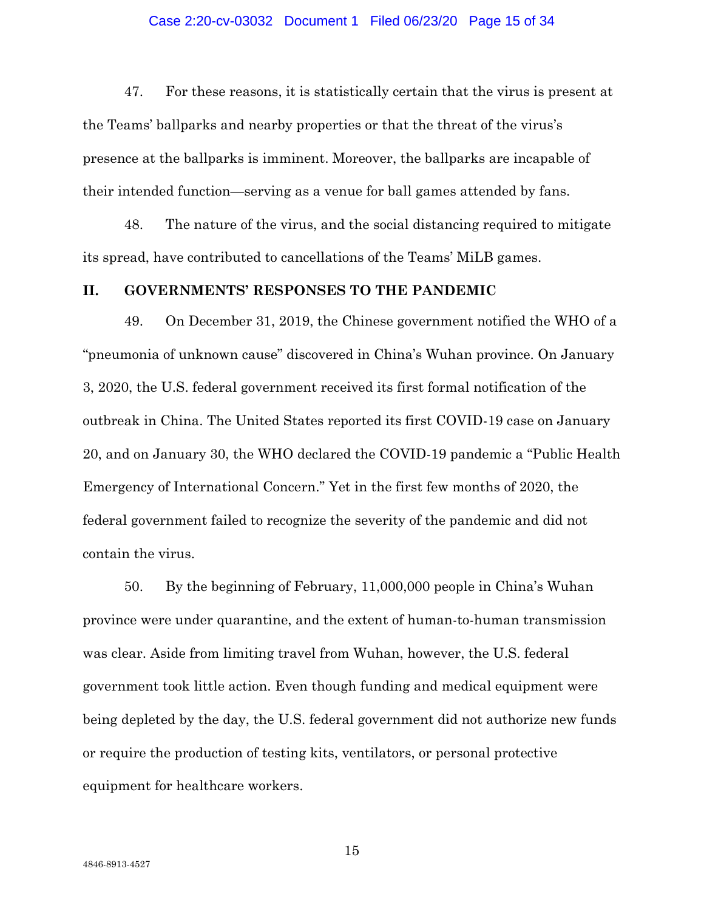### Case 2:20-cv-03032 Document 1 Filed 06/23/20 Page 15 of 34

47. For these reasons, it is statistically certain that the virus is present at the Teams' ballparks and nearby properties or that the threat of the virus's presence at the ballparks is imminent. Moreover, the ballparks are incapable of their intended function—serving as a venue for ball games attended by fans.

48. The nature of the virus, and the social distancing required to mitigate its spread, have contributed to cancellations of the Teams' MiLB games.

# **II. GOVERNMENTS' RESPONSES TO THE PANDEMIC**

49. On December 31, 2019, the Chinese government notified the WHO of a "pneumonia of unknown cause" discovered in China's Wuhan province. On January 3, 2020, the U.S. federal government received its first formal notification of the outbreak in China. The United States reported its first COVID-19 case on January 20, and on January 30, the WHO declared the COVID-19 pandemic a "Public Health Emergency of International Concern." Yet in the first few months of 2020, the federal government failed to recognize the severity of the pandemic and did not contain the virus.

50. By the beginning of February, 11,000,000 people in China's Wuhan province were under quarantine, and the extent of human-to-human transmission was clear. Aside from limiting travel from Wuhan, however, the U.S. federal government took little action. Even though funding and medical equipment were being depleted by the day, the U.S. federal government did not authorize new funds or require the production of testing kits, ventilators, or personal protective equipment for healthcare workers.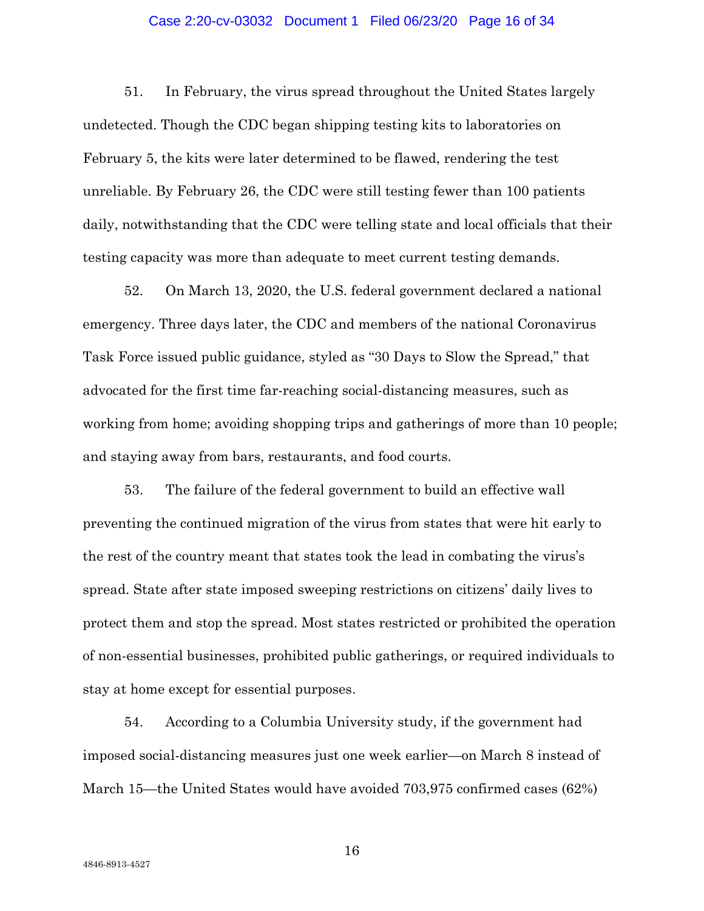### Case 2:20-cv-03032 Document 1 Filed 06/23/20 Page 16 of 34

51. In February, the virus spread throughout the United States largely undetected. Though the CDC began shipping testing kits to laboratories on February 5, the kits were later determined to be flawed, rendering the test unreliable. By February 26, the CDC were still testing fewer than 100 patients daily, notwithstanding that the CDC were telling state and local officials that their testing capacity was more than adequate to meet current testing demands.

52. On March 13, 2020, the U.S. federal government declared a national emergency. Three days later, the CDC and members of the national Coronavirus Task Force issued public guidance, styled as "30 Days to Slow the Spread," that advocated for the first time far-reaching social-distancing measures, such as working from home; avoiding shopping trips and gatherings of more than 10 people; and staying away from bars, restaurants, and food courts.

53. The failure of the federal government to build an effective wall preventing the continued migration of the virus from states that were hit early to the rest of the country meant that states took the lead in combating the virus's spread. State after state imposed sweeping restrictions on citizens' daily lives to protect them and stop the spread. Most states restricted or prohibited the operation of non-essential businesses, prohibited public gatherings, or required individuals to stay at home except for essential purposes.

54. According to a Columbia University study, if the government had imposed social-distancing measures just one week earlier—on March 8 instead of March 15—the United States would have avoided 703,975 confirmed cases (62%)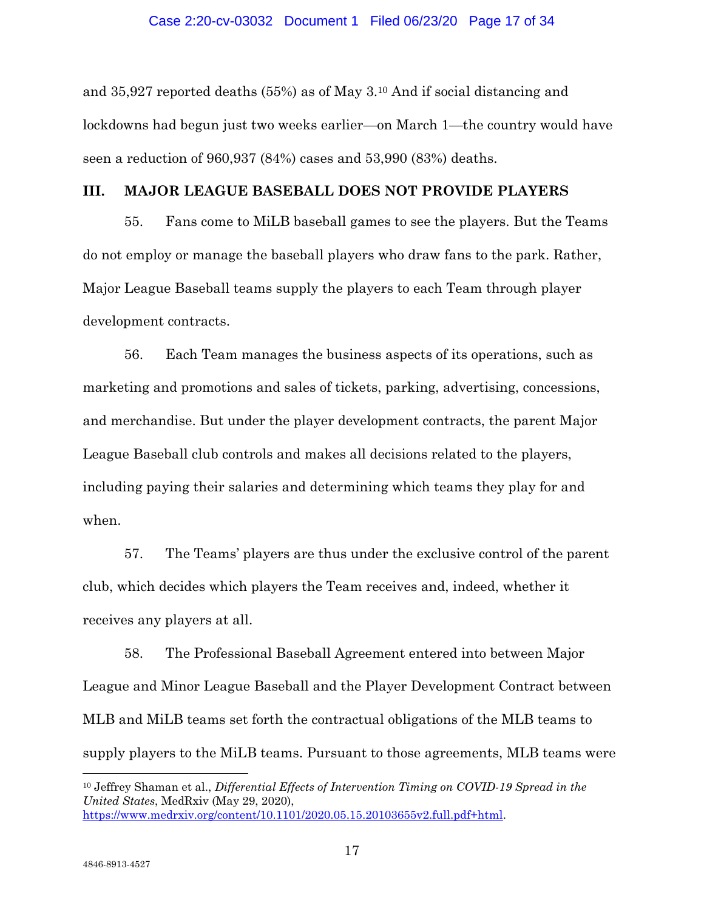and 35,927 reported deaths (55%) as of May 3.10 And if social distancing and lockdowns had begun just two weeks earlier—on March 1—the country would have seen a reduction of 960,937 (84%) cases and 53,990 (83%) deaths.

# **III. MAJOR LEAGUE BASEBALL DOES NOT PROVIDE PLAYERS**

55. Fans come to MiLB baseball games to see the players. But the Teams do not employ or manage the baseball players who draw fans to the park. Rather, Major League Baseball teams supply the players to each Team through player development contracts.

56. Each Team manages the business aspects of its operations, such as marketing and promotions and sales of tickets, parking, advertising, concessions, and merchandise. But under the player development contracts, the parent Major League Baseball club controls and makes all decisions related to the players, including paying their salaries and determining which teams they play for and when.

57. The Teams' players are thus under the exclusive control of the parent club, which decides which players the Team receives and, indeed, whether it receives any players at all.

58. The Professional Baseball Agreement entered into between Major League and Minor League Baseball and the Player Development Contract between MLB and MiLB teams set forth the contractual obligations of the MLB teams to supply players to the MiLB teams. Pursuant to those agreements, MLB teams were

10 Jeffrey Shaman et al., *Differential Effects of Intervention Timing on COVID-19 Spread in the United States*, MedRxiv (May 29, 2020), https://www.medrxiv.org/content/10.1101/2020.05.15.20103655v2.full.pdf+html.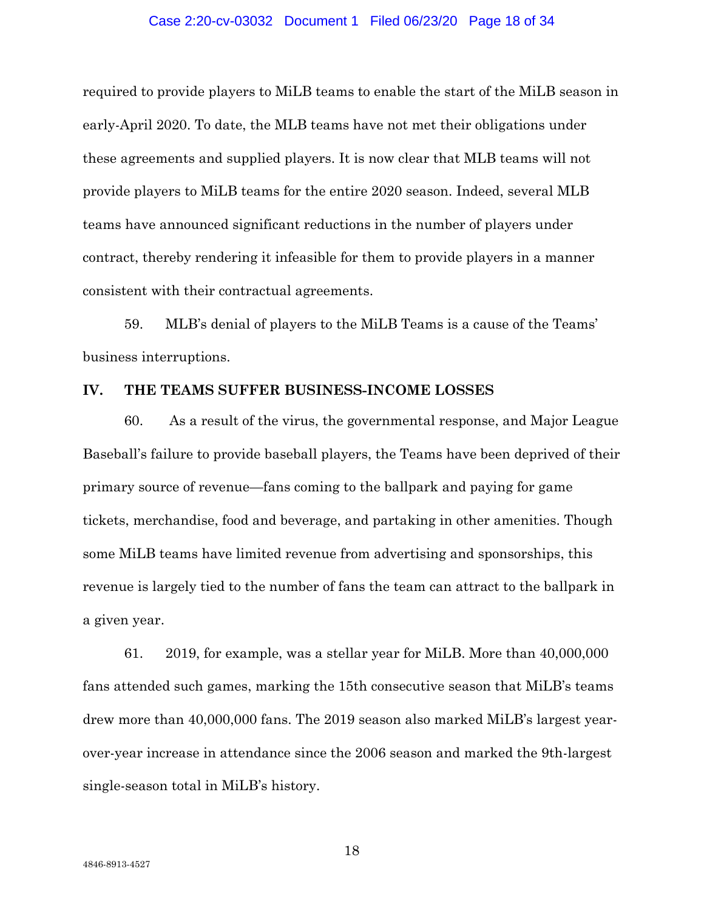#### Case 2:20-cv-03032 Document 1 Filed 06/23/20 Page 18 of 34

required to provide players to MiLB teams to enable the start of the MiLB season in early-April 2020. To date, the MLB teams have not met their obligations under these agreements and supplied players. It is now clear that MLB teams will not provide players to MiLB teams for the entire 2020 season. Indeed, several MLB teams have announced significant reductions in the number of players under contract, thereby rendering it infeasible for them to provide players in a manner consistent with their contractual agreements.

59. MLB's denial of players to the MiLB Teams is a cause of the Teams' business interruptions.

# **IV. THE TEAMS SUFFER BUSINESS-INCOME LOSSES**

60. As a result of the virus, the governmental response, and Major League Baseball's failure to provide baseball players, the Teams have been deprived of their primary source of revenue—fans coming to the ballpark and paying for game tickets, merchandise, food and beverage, and partaking in other amenities. Though some MiLB teams have limited revenue from advertising and sponsorships, this revenue is largely tied to the number of fans the team can attract to the ballpark in a given year.

61. 2019, for example, was a stellar year for MiLB. More than 40,000,000 fans attended such games, marking the 15th consecutive season that MiLB's teams drew more than 40,000,000 fans. The 2019 season also marked MiLB's largest yearover-year increase in attendance since the 2006 season and marked the 9th-largest single-season total in MiLB's history.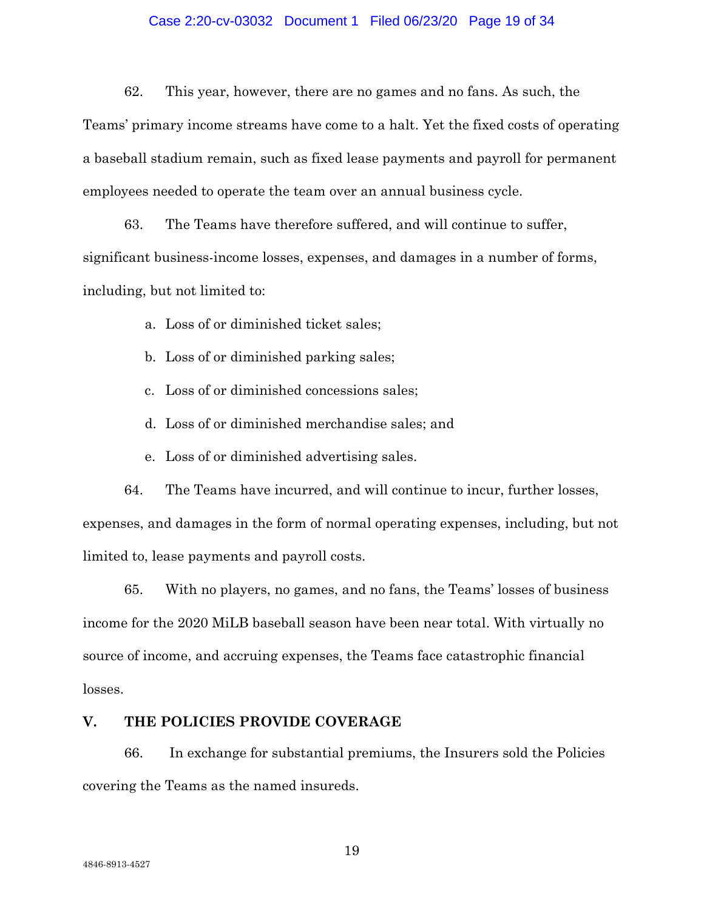# Case 2:20-cv-03032 Document 1 Filed 06/23/20 Page 19 of 34

62. This year, however, there are no games and no fans. As such, the

Teams' primary income streams have come to a halt. Yet the fixed costs of operating a baseball stadium remain, such as fixed lease payments and payroll for permanent employees needed to operate the team over an annual business cycle.

63. The Teams have therefore suffered, and will continue to suffer, significant business-income losses, expenses, and damages in a number of forms, including, but not limited to:

a. Loss of or diminished ticket sales;

- b. Loss of or diminished parking sales;
- c. Loss of or diminished concessions sales;
- d. Loss of or diminished merchandise sales; and
- e. Loss of or diminished advertising sales.

64. The Teams have incurred, and will continue to incur, further losses, expenses, and damages in the form of normal operating expenses, including, but not limited to, lease payments and payroll costs.

65. With no players, no games, and no fans, the Teams' losses of business income for the 2020 MiLB baseball season have been near total. With virtually no source of income, and accruing expenses, the Teams face catastrophic financial losses.

# **V. THE POLICIES PROVIDE COVERAGE**

66. In exchange for substantial premiums, the Insurers sold the Policies covering the Teams as the named insureds.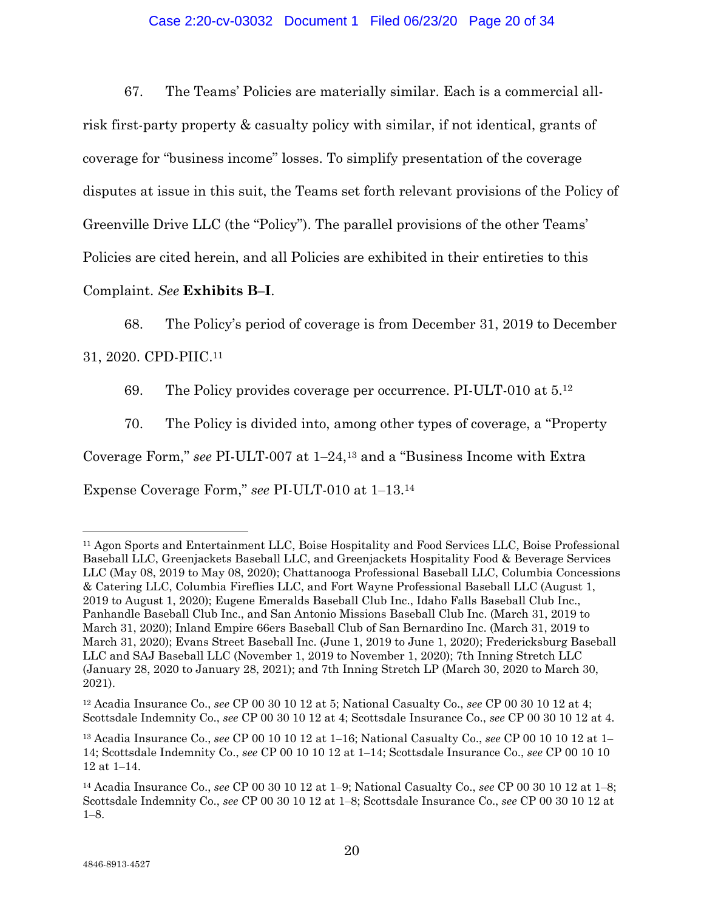# Case 2:20-cv-03032 Document 1 Filed 06/23/20 Page 20 of 34

67. The Teams' Policies are materially similar. Each is a commercial allrisk first-party property & casualty policy with similar, if not identical, grants of coverage for "business income" losses. To simplify presentation of the coverage disputes at issue in this suit, the Teams set forth relevant provisions of the Policy of Greenville Drive LLC (the "Policy"). The parallel provisions of the other Teams' Policies are cited herein, and all Policies are exhibited in their entireties to this

Complaint. *See* **Exhibits B‒I**.

68. The Policy's period of coverage is from December 31, 2019 to December

31, 2020. CPD-PIIC.11

69. The Policy provides coverage per occurrence. PI-ULT-010 at 5.12

70. The Policy is divided into, among other types of coverage, a "Property Coverage Form," *see* PI-ULT-007 at  $1-24$ ,<sup>13</sup> and a "Business Income with Extra Expense Coverage Form," see PI-ULT-010 at 1-13.<sup>14</sup>

<sup>11</sup> Agon Sports and Entertainment LLC, Boise Hospitality and Food Services LLC, Boise Professional Baseball LLC, Greenjackets Baseball LLC, and Greenjackets Hospitality Food & Beverage Services LLC (May 08, 2019 to May 08, 2020); Chattanooga Professional Baseball LLC, Columbia Concessions & Catering LLC, Columbia Fireflies LLC, and Fort Wayne Professional Baseball LLC (August 1, 2019 to August 1, 2020); Eugene Emeralds Baseball Club Inc., Idaho Falls Baseball Club Inc., Panhandle Baseball Club Inc., and San Antonio Missions Baseball Club Inc. (March 31, 2019 to March 31, 2020); Inland Empire 66ers Baseball Club of San Bernardino Inc. (March 31, 2019 to March 31, 2020); Evans Street Baseball Inc. (June 1, 2019 to June 1, 2020); Fredericksburg Baseball LLC and SAJ Baseball LLC (November 1, 2019 to November 1, 2020); 7th Inning Stretch LLC (January 28, 2020 to January 28, 2021); and 7th Inning Stretch LP (March 30, 2020 to March 30, 2021).

<sup>12</sup> Acadia Insurance Co., *see* CP 00 30 10 12 at 5; National Casualty Co., *see* CP 00 30 10 12 at 4; Scottsdale Indemnity Co., *see* CP 00 30 10 12 at 4; Scottsdale Insurance Co., *see* CP 00 30 10 12 at 4.

<sup>13</sup> Acadia Insurance Co., *see* CP 00 10 10 12 at 1‒16; National Casualty Co., *see* CP 00 10 10 12 at 1‒ 14; Scottsdale Indemnity Co., *see* CP 00 10 10 12 at 1‒14; Scottsdale Insurance Co., *see* CP 00 10 10 12 at 1‒14.

<sup>14</sup> Acadia Insurance Co., *see* CP 00 30 10 12 at 1‒9; National Casualty Co., *see* CP 00 30 10 12 at 1‒8; Scottsdale Indemnity Co., *see* CP 00 30 10 12 at 1‒8; Scottsdale Insurance Co., *see* CP 00 30 10 12 at  $1 - 8$ .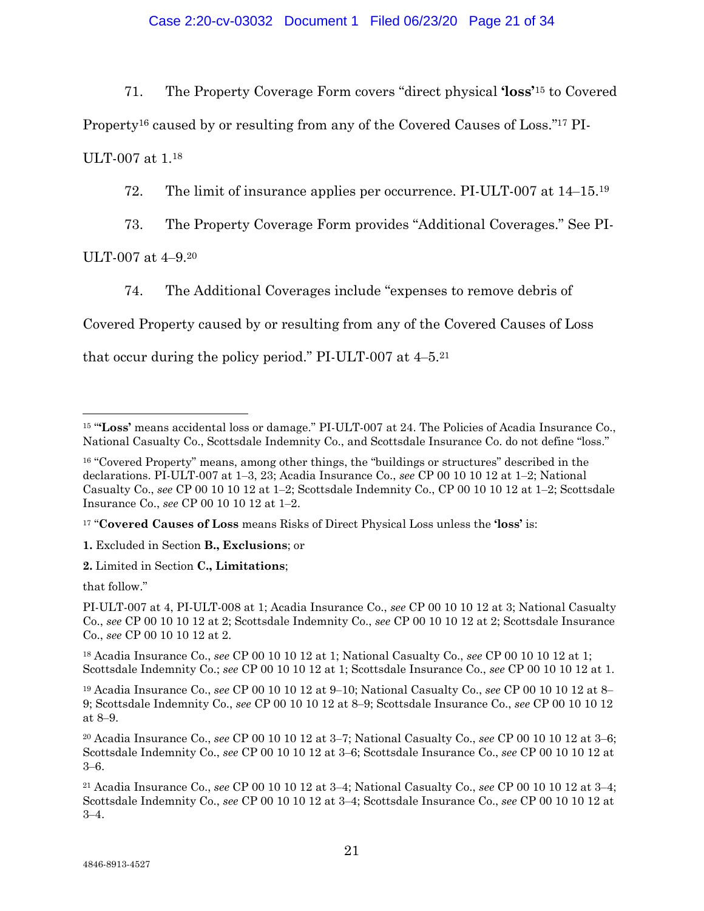71. The Property Coverage Form covers "direct physical **'loss'**15 to Covered

Property16 caused by or resulting from any of the Covered Causes of Loss."17 PI-

ULT-007 at 1.18

72. The limit of insurance applies per occurrence. PI-ULT-007 at  $14-15^{19}$ 

73. The Property Coverage Form provides "Additional Coverages." See PI-

ULT-007 at 4-9.20

74. The Additional Coverages include "expenses to remove debris of

Covered Property caused by or resulting from any of the Covered Causes of Loss

that occur during the policy period." PI-ULT-007 at  $4-5<sup>21</sup>$ 

17 "**Covered Causes of Loss** means Risks of Direct Physical Loss unless the **'loss'** is:

**1.** Excluded in Section **B., Exclusions**; or

**2.** Limited in Section **C., Limitations**;

that follow."

PI-ULT-007 at 4, PI-ULT-008 at 1; Acadia Insurance Co., *see* CP 00 10 10 12 at 3; National Casualty Co., *see* CP 00 10 10 12 at 2; Scottsdale Indemnity Co., *see* CP 00 10 10 12 at 2; Scottsdale Insurance Co., *see* CP 00 10 10 12 at 2.

18 Acadia Insurance Co., *see* CP 00 10 10 12 at 1; National Casualty Co., *see* CP 00 10 10 12 at 1; Scottsdale Indemnity Co.; *see* CP 00 10 10 12 at 1; Scottsdale Insurance Co., *see* CP 00 10 10 12 at 1.

<sup>19</sup> Acadia Insurance Co., *see* CP 00 10 10 12 at 9–10; National Casualty Co., *see* CP 00 10 10 12 at 8– 9; Scottsdale Indemnity Co., *see* CP 00 10 10 12 at 8‒9; Scottsdale Insurance Co., *see* CP 00 10 10 12 at 8‒9.

20 Acadia Insurance Co., *see* CP 00 10 10 12 at 3‒7; National Casualty Co., *see* CP 00 10 10 12 at 3‒6; Scottsdale Indemnity Co., *see* CP 00 10 10 12 at 3‒6; Scottsdale Insurance Co., *see* CP 00 10 10 12 at  $3 - 6$ .

21 Acadia Insurance Co., *see* CP 00 10 10 12 at 3‒4; National Casualty Co., *see* CP 00 10 10 12 at 3‒4; Scottsdale Indemnity Co., *see* CP 00 10 10 12 at 3‒4; Scottsdale Insurance Co., *see* CP 00 10 10 12 at  $3 - 4.$ 

 $\overline{a}$ 15 "**'Loss'** means accidental loss or damage." PI-ULT-007 at 24. The Policies of Acadia Insurance Co., National Casualty Co., Scottsdale Indemnity Co., and Scottsdale Insurance Co. do not define "loss."

<sup>&</sup>lt;sup>16</sup> "Covered Property" means, among other things, the "buildings or structures" described in the declarations. PI-ULT-007 at 1‒3, 23; Acadia Insurance Co., *see* CP 00 10 10 12 at 1‒2; National Casualty Co., *see* CP 00 10 10 12 at 1‒2; Scottsdale Indemnity Co., CP 00 10 10 12 at 1‒2; Scottsdale Insurance Co., *see* CP 00 10 10 12 at 1‒2.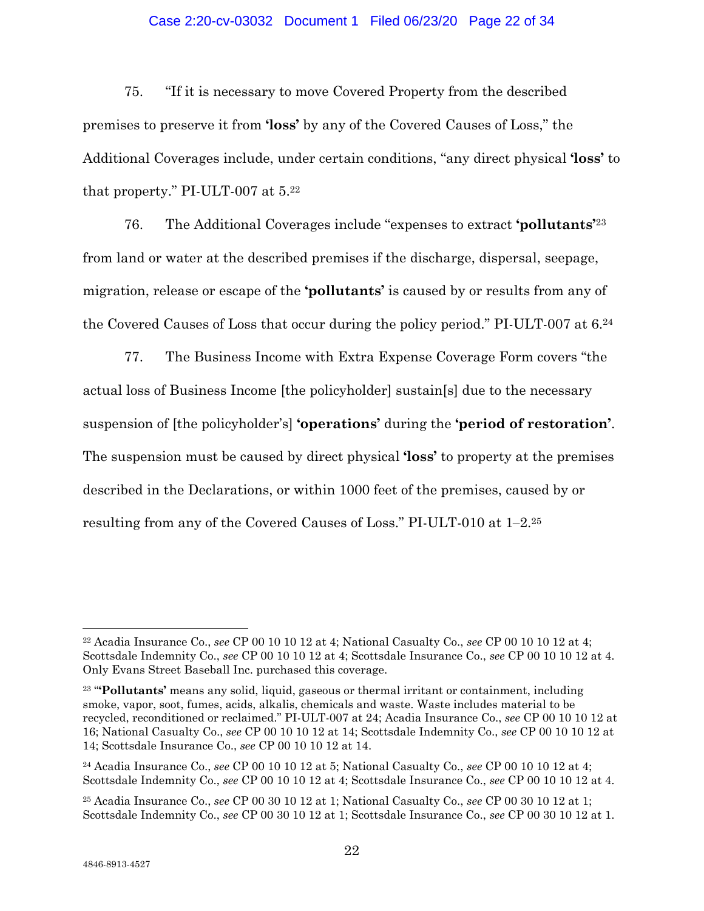# Case 2:20-cv-03032 Document 1 Filed 06/23/20 Page 22 of 34

75. "If it is necessary to move Covered Property from the described premises to preserve it from **'loss'** by any of the Covered Causes of Loss," the Additional Coverages include, under certain conditions, "any direct physical **'loss'** to that property." PI-ULT-007 at 5.22

76. The Additional Coverages include "expenses to extract **'pollutants'**<sup>23</sup> from land or water at the described premises if the discharge, dispersal, seepage, migration, release or escape of the **'pollutants'** is caused by or results from any of the Covered Causes of Loss that occur during the policy period." PI-ULT-007 at 6.24

77. The Business Income with Extra Expense Coverage Form covers "the actual loss of Business Income [the policyholder] sustain[s] due to the necessary suspension of [the policyholder's] **'operations'** during the **'period of restoration'**. The suspension must be caused by direct physical **'loss'** to property at the premises described in the Declarations, or within 1000 feet of the premises, caused by or resulting from any of the Covered Causes of Loss." PI-ULT-010 at  $1-2^{25}$ 

<sup>22</sup> Acadia Insurance Co., *see* CP 00 10 10 12 at 4; National Casualty Co., *see* CP 00 10 10 12 at 4; Scottsdale Indemnity Co., *see* CP 00 10 10 12 at 4; Scottsdale Insurance Co., *see* CP 00 10 10 12 at 4. Only Evans Street Baseball Inc. purchased this coverage.

<sup>23 &</sup>quot;**'Pollutants'** means any solid, liquid, gaseous or thermal irritant or containment, including smoke, vapor, soot, fumes, acids, alkalis, chemicals and waste. Waste includes material to be recycled, reconditioned or reclaimed." PI-ULT-007 at 24; Acadia Insurance Co., *see* CP 00 10 10 12 at 16; National Casualty Co., *see* CP 00 10 10 12 at 14; Scottsdale Indemnity Co., *see* CP 00 10 10 12 at 14; Scottsdale Insurance Co., *see* CP 00 10 10 12 at 14.

<sup>24</sup> Acadia Insurance Co., *see* CP 00 10 10 12 at 5; National Casualty Co., *see* CP 00 10 10 12 at 4; Scottsdale Indemnity Co., *see* CP 00 10 10 12 at 4; Scottsdale Insurance Co., *see* CP 00 10 10 12 at 4.

<sup>25</sup> Acadia Insurance Co., *see* CP 00 30 10 12 at 1; National Casualty Co., *see* CP 00 30 10 12 at 1; Scottsdale Indemnity Co., *see* CP 00 30 10 12 at 1; Scottsdale Insurance Co., *see* CP 00 30 10 12 at 1.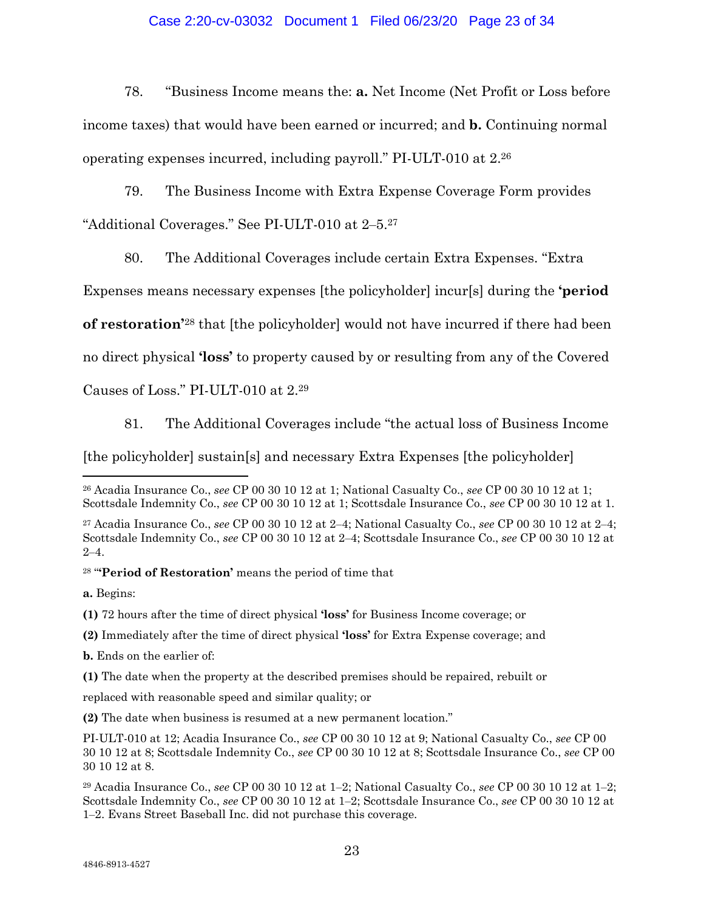# Case 2:20-cv-03032 Document 1 Filed 06/23/20 Page 23 of 34

78. "Business Income means the: **a.** Net Income (Net Profit or Loss before income taxes) that would have been earned or incurred; and **b.** Continuing normal operating expenses incurred, including payroll." PI-ULT-010 at 2.26

79. The Business Income with Extra Expense Coverage Form provides "Additional Coverages." See PI-ULT-010 at 2-5.<sup>27</sup>

80. The Additional Coverages include certain Extra Expenses. "Extra

Expenses means necessary expenses [the policyholder] incur[s] during the **'period** 

**of restoration'**28 that [the policyholder] would not have incurred if there had been

no direct physical **'loss'** to property caused by or resulting from any of the Covered

Causes of Loss." PI-ULT-010 at 2.29

81. The Additional Coverages include "the actual loss of Business Income

[the policyholder] sustain[s] and necessary Extra Expenses [the policyholder]

28 "**'Period of Restoration'** means the period of time that

**a.** Begins:

**(1)** 72 hours after the time of direct physical **'loss'** for Business Income coverage; or

- **(2)** Immediately after the time of direct physical **'loss'** for Extra Expense coverage; and
- **b.** Ends on the earlier of:

**(1)** The date when the property at the described premises should be repaired, rebuilt or

replaced with reasonable speed and similar quality; or

**(2)** The date when business is resumed at a new permanent location."

 $\overline{a}$ 26 Acadia Insurance Co., *see* CP 00 30 10 12 at 1; National Casualty Co., *see* CP 00 30 10 12 at 1; Scottsdale Indemnity Co., *see* CP 00 30 10 12 at 1; Scottsdale Insurance Co., *see* CP 00 30 10 12 at 1.

<sup>27</sup> Acadia Insurance Co., *see* CP 00 30 10 12 at 2‒4; National Casualty Co., *see* CP 00 30 10 12 at 2‒4; Scottsdale Indemnity Co., *see* CP 00 30 10 12 at 2‒4; Scottsdale Insurance Co., *see* CP 00 30 10 12 at  $2 - 4.$ 

PI-ULT-010 at 12; Acadia Insurance Co., *see* CP 00 30 10 12 at 9; National Casualty Co., *see* CP 00 30 10 12 at 8; Scottsdale Indemnity Co., *see* CP 00 30 10 12 at 8; Scottsdale Insurance Co., *see* CP 00 30 10 12 at 8.

<sup>29</sup> Acadia Insurance Co., *see* CP 00 30 10 12 at 1‒2; National Casualty Co., *see* CP 00 30 10 12 at 1‒2; Scottsdale Indemnity Co., *see* CP 00 30 10 12 at 1‒2; Scottsdale Insurance Co., *see* CP 00 30 10 12 at 1‒2. Evans Street Baseball Inc. did not purchase this coverage.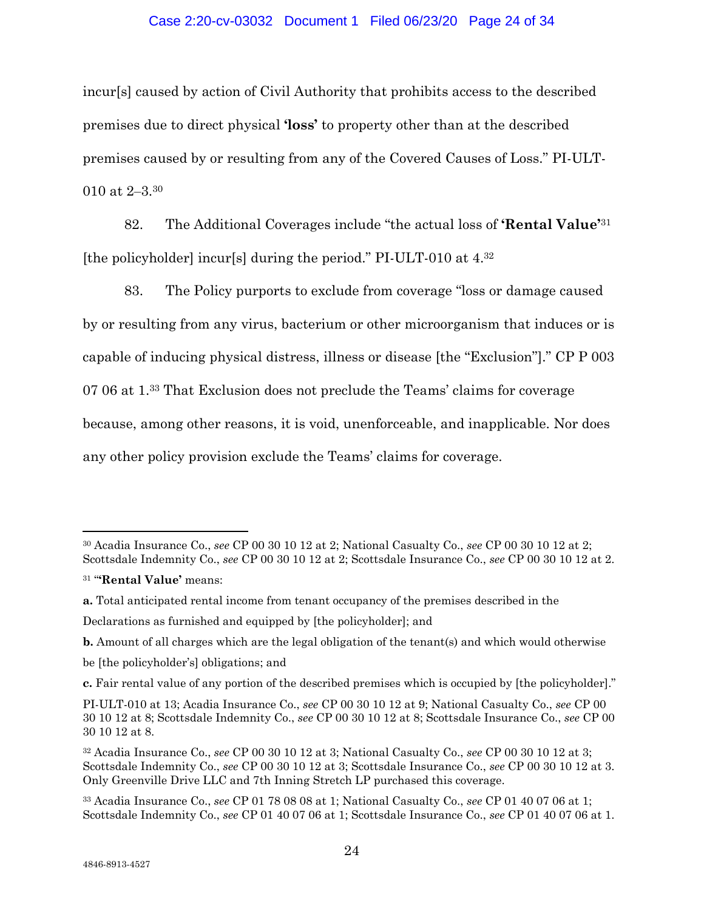# Case 2:20-cv-03032 Document 1 Filed 06/23/20 Page 24 of 34

incur[s] caused by action of Civil Authority that prohibits access to the described premises due to direct physical **'loss'** to property other than at the described premises caused by or resulting from any of the Covered Causes of Loss." PI-ULT-010 at 2‒3.30

82. The Additional Coverages include "the actual loss of **'Rental Value'**<sup>31</sup> [the policyholder] incur[s] during the period." PI-ULT-010 at 4.32

83. The Policy purports to exclude from coverage "loss or damage caused by or resulting from any virus, bacterium or other microorganism that induces or is capable of inducing physical distress, illness or disease [the "Exclusion"]." CP P 003 07 06 at 1.33 That Exclusion does not preclude the Teams' claims for coverage because, among other reasons, it is void, unenforceable, and inapplicable. Nor does any other policy provision exclude the Teams' claims for coverage.

<sup>30</sup> Acadia Insurance Co., *see* CP 00 30 10 12 at 2; National Casualty Co., *see* CP 00 30 10 12 at 2; Scottsdale Indemnity Co., *see* CP 00 30 10 12 at 2; Scottsdale Insurance Co., *see* CP 00 30 10 12 at 2.

<sup>31 &</sup>quot;**'Rental Value'** means:

**a.** Total anticipated rental income from tenant occupancy of the premises described in the

Declarations as furnished and equipped by [the policyholder]; and

**b.** Amount of all charges which are the legal obligation of the tenant(s) and which would otherwise

be [the policyholder's] obligations; and

**c.** Fair rental value of any portion of the described premises which is occupied by [the policyholder]."

PI-ULT-010 at 13; Acadia Insurance Co., *see* CP 00 30 10 12 at 9; National Casualty Co., *see* CP 00 30 10 12 at 8; Scottsdale Indemnity Co., *see* CP 00 30 10 12 at 8; Scottsdale Insurance Co., *see* CP 00 30 10 12 at 8.

<sup>32</sup> Acadia Insurance Co., *see* CP 00 30 10 12 at 3; National Casualty Co., *see* CP 00 30 10 12 at 3; Scottsdale Indemnity Co., *see* CP 00 30 10 12 at 3; Scottsdale Insurance Co., *see* CP 00 30 10 12 at 3. Only Greenville Drive LLC and 7th Inning Stretch LP purchased this coverage.

<sup>33</sup> Acadia Insurance Co., *see* CP 01 78 08 08 at 1; National Casualty Co., *see* CP 01 40 07 06 at 1; Scottsdale Indemnity Co., *see* CP 01 40 07 06 at 1; Scottsdale Insurance Co., *see* CP 01 40 07 06 at 1.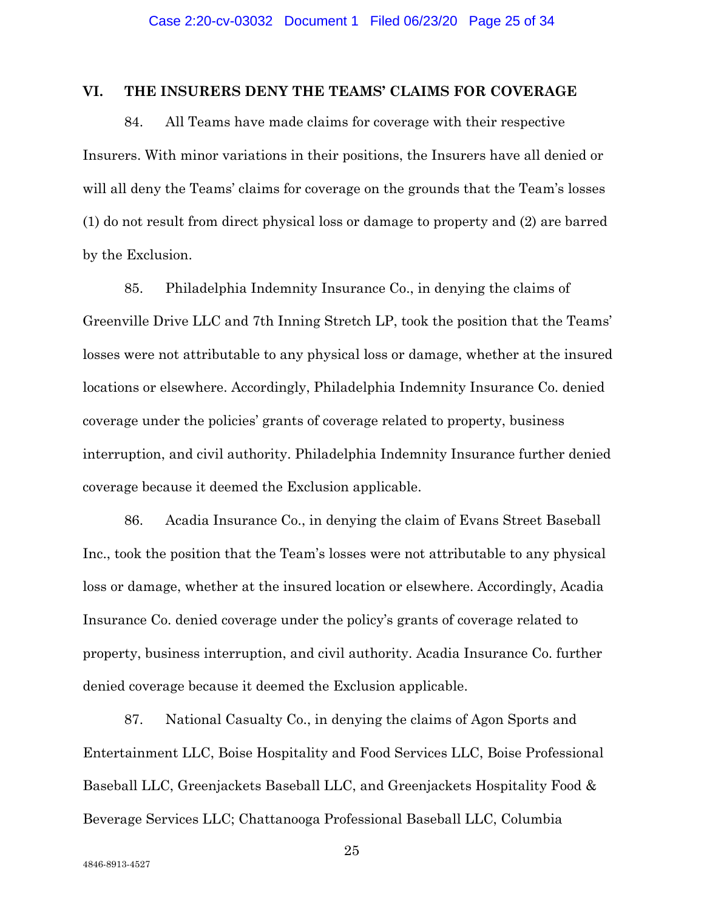# **VI. THE INSURERS DENY THE TEAMS' CLAIMS FOR COVERAGE**

84. All Teams have made claims for coverage with their respective Insurers. With minor variations in their positions, the Insurers have all denied or will all deny the Teams' claims for coverage on the grounds that the Team's losses (1) do not result from direct physical loss or damage to property and (2) are barred by the Exclusion.

85. Philadelphia Indemnity Insurance Co., in denying the claims of Greenville Drive LLC and 7th Inning Stretch LP, took the position that the Teams' losses were not attributable to any physical loss or damage, whether at the insured locations or elsewhere. Accordingly, Philadelphia Indemnity Insurance Co. denied coverage under the policies' grants of coverage related to property, business interruption, and civil authority. Philadelphia Indemnity Insurance further denied coverage because it deemed the Exclusion applicable.

86. Acadia Insurance Co., in denying the claim of Evans Street Baseball Inc., took the position that the Team's losses were not attributable to any physical loss or damage, whether at the insured location or elsewhere. Accordingly, Acadia Insurance Co. denied coverage under the policy's grants of coverage related to property, business interruption, and civil authority. Acadia Insurance Co. further denied coverage because it deemed the Exclusion applicable.

87. National Casualty Co., in denying the claims of Agon Sports and Entertainment LLC, Boise Hospitality and Food Services LLC, Boise Professional Baseball LLC, Greenjackets Baseball LLC, and Greenjackets Hospitality Food & Beverage Services LLC; Chattanooga Professional Baseball LLC, Columbia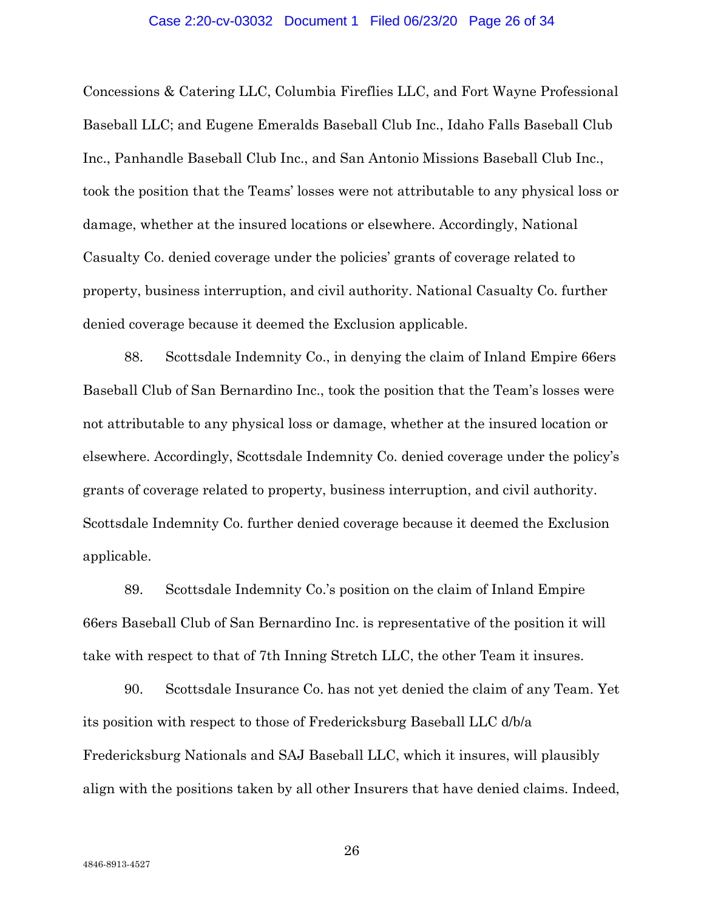#### Case 2:20-cv-03032 Document 1 Filed 06/23/20 Page 26 of 34

Concessions & Catering LLC, Columbia Fireflies LLC, and Fort Wayne Professional Baseball LLC; and Eugene Emeralds Baseball Club Inc., Idaho Falls Baseball Club Inc., Panhandle Baseball Club Inc., and San Antonio Missions Baseball Club Inc., took the position that the Teams' losses were not attributable to any physical loss or damage, whether at the insured locations or elsewhere. Accordingly, National Casualty Co. denied coverage under the policies' grants of coverage related to property, business interruption, and civil authority. National Casualty Co. further denied coverage because it deemed the Exclusion applicable.

88. Scottsdale Indemnity Co., in denying the claim of Inland Empire 66ers Baseball Club of San Bernardino Inc., took the position that the Team's losses were not attributable to any physical loss or damage, whether at the insured location or elsewhere. Accordingly, Scottsdale Indemnity Co. denied coverage under the policy's grants of coverage related to property, business interruption, and civil authority. Scottsdale Indemnity Co. further denied coverage because it deemed the Exclusion applicable.

89. Scottsdale Indemnity Co.'s position on the claim of Inland Empire 66ers Baseball Club of San Bernardino Inc. is representative of the position it will take with respect to that of 7th Inning Stretch LLC, the other Team it insures.

90. Scottsdale Insurance Co. has not yet denied the claim of any Team. Yet its position with respect to those of Fredericksburg Baseball LLC d/b/a Fredericksburg Nationals and SAJ Baseball LLC, which it insures, will plausibly align with the positions taken by all other Insurers that have denied claims. Indeed,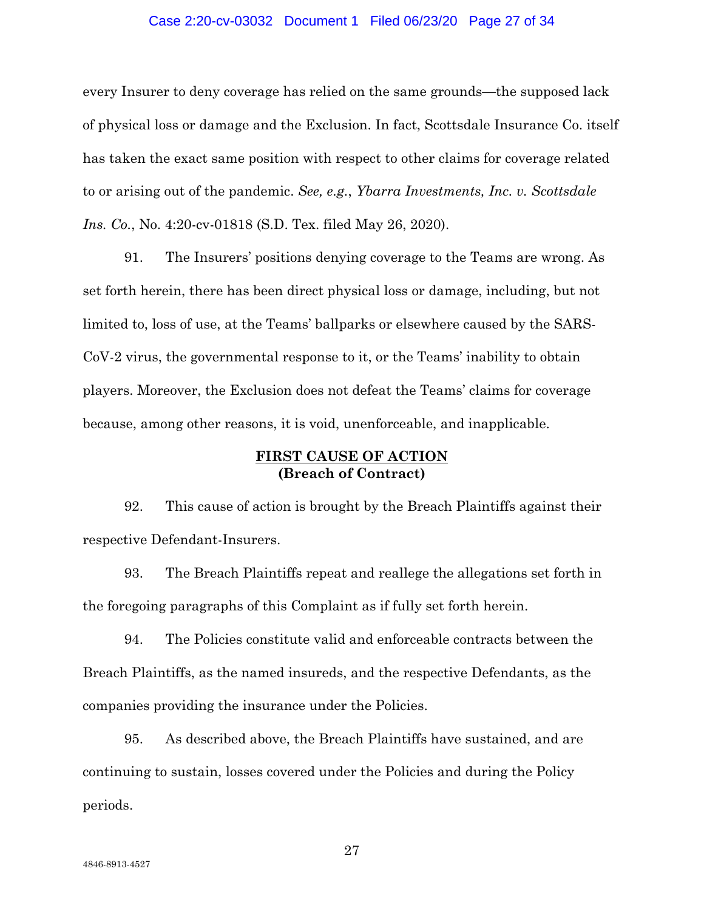### Case 2:20-cv-03032 Document 1 Filed 06/23/20 Page 27 of 34

every Insurer to deny coverage has relied on the same grounds—the supposed lack of physical loss or damage and the Exclusion. In fact, Scottsdale Insurance Co. itself has taken the exact same position with respect to other claims for coverage related to or arising out of the pandemic. *See, e.g.*, *Ybarra Investments, Inc. v. Scottsdale Ins. Co.*, No. 4:20-cv-01818 (S.D. Tex. filed May 26, 2020).

91. The Insurers' positions denying coverage to the Teams are wrong. As set forth herein, there has been direct physical loss or damage, including, but not limited to, loss of use, at the Teams' ballparks or elsewhere caused by the SARS-CoV-2 virus, the governmental response to it, or the Teams' inability to obtain players. Moreover, the Exclusion does not defeat the Teams' claims for coverage because, among other reasons, it is void, unenforceable, and inapplicable.

# **FIRST CAUSE OF ACTION (Breach of Contract)**

92. This cause of action is brought by the Breach Plaintiffs against their respective Defendant-Insurers.

93. The Breach Plaintiffs repeat and reallege the allegations set forth in the foregoing paragraphs of this Complaint as if fully set forth herein.

94. The Policies constitute valid and enforceable contracts between the Breach Plaintiffs, as the named insureds, and the respective Defendants, as the companies providing the insurance under the Policies.

95. As described above, the Breach Plaintiffs have sustained, and are continuing to sustain, losses covered under the Policies and during the Policy periods.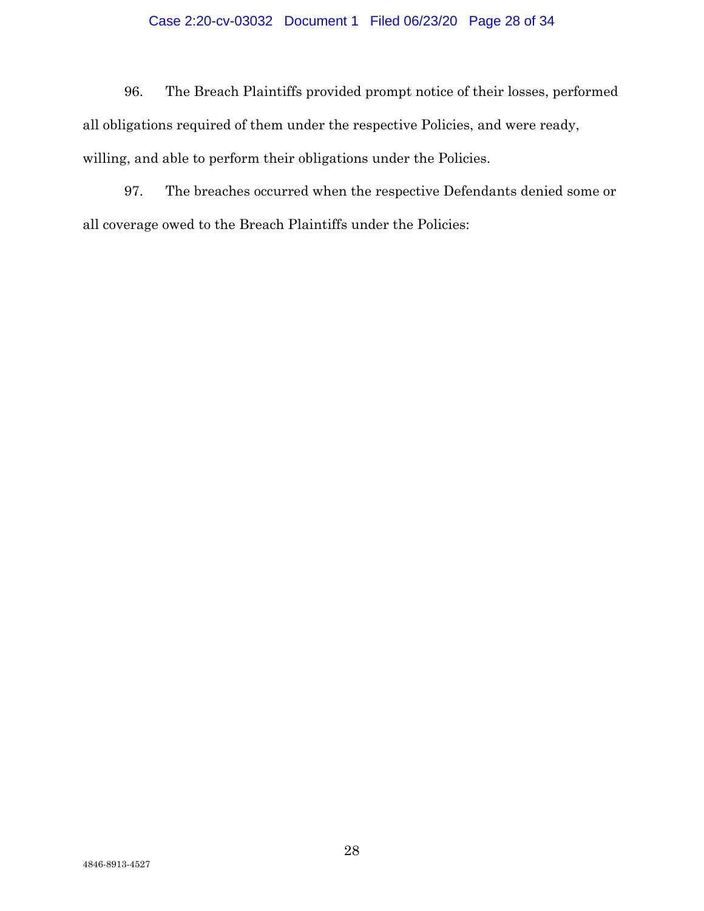# Case 2:20-cv-03032 Document 1 Filed 06/23/20 Page 28 of 34

96. The Breach Plaintiffs provided prompt notice of their losses, performed all obligations required of them under the respective Policies, and were ready, willing, and able to perform their obligations under the Policies.

97. The breaches occurred when the respective Defendants denied some or all coverage owed to the Breach Plaintiffs under the Policies: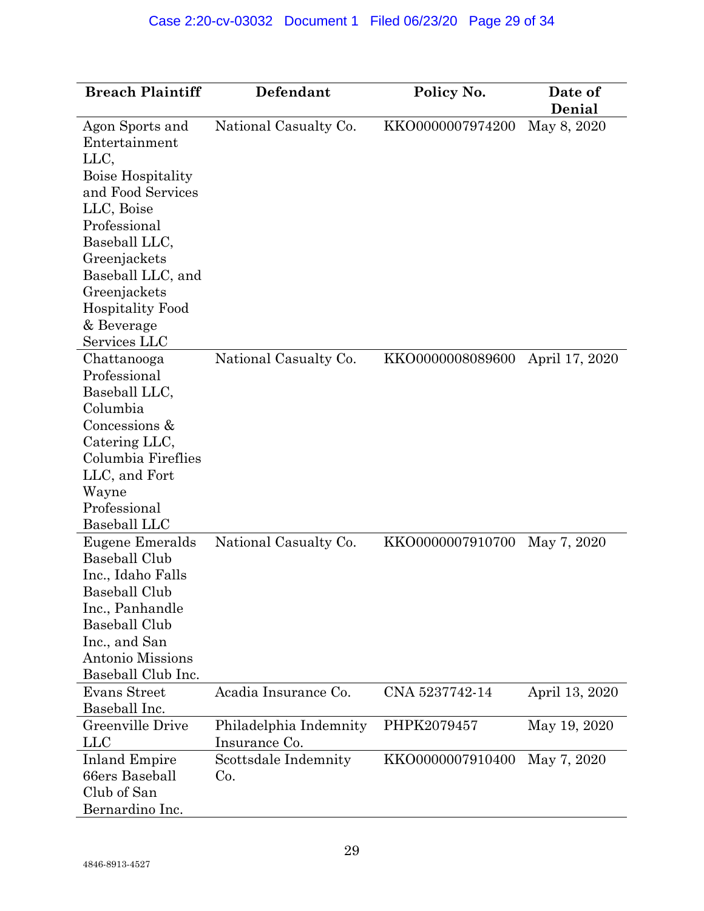| <b>Breach Plaintiff</b>                                                                                                                                                                                                                                | Defendant                               | Policy No.       | Date of<br>Denial |  |  |
|--------------------------------------------------------------------------------------------------------------------------------------------------------------------------------------------------------------------------------------------------------|-----------------------------------------|------------------|-------------------|--|--|
| Agon Sports and<br>Entertainment<br>LLC,<br><b>Boise Hospitality</b><br>and Food Services<br>LLC, Boise<br>Professional<br>Baseball LLC,<br>Greenjackets<br>Baseball LLC, and<br>Greenjackets<br><b>Hospitality Food</b><br>& Beverage<br>Services LLC | National Casualty Co.                   | KKO0000007974200 | May 8, 2020       |  |  |
| Chattanooga<br>Professional<br>Baseball LLC,<br>Columbia<br>Concessions &<br>Catering LLC,<br>Columbia Fireflies<br>LLC, and Fort<br>Wayne<br>Professional<br>Baseball LLC                                                                             | National Casualty Co.                   | KKO0000008089600 | April 17, 2020    |  |  |
| Eugene Emeralds<br><b>Baseball Club</b><br>Inc., Idaho Falls<br>Baseball Club<br>Inc., Panhandle<br><b>Baseball Club</b><br>Inc., and San<br><b>Antonio Missions</b><br>Baseball Club Inc.                                                             | National Casualty Co.                   | KKO0000007910700 | May 7, 2020       |  |  |
| Evans Street<br>Baseball Inc.                                                                                                                                                                                                                          | Acadia Insurance Co.                    | CNA 5237742-14   | April 13, 2020    |  |  |
| Greenville Drive<br><b>LLC</b>                                                                                                                                                                                                                         | Philadelphia Indemnity<br>Insurance Co. | PHPK2079457      | May 19, 2020      |  |  |
| <b>Inland Empire</b><br>66ers Baseball<br>Club of San<br>Bernardino Inc.                                                                                                                                                                               | Scottsdale Indemnity<br>Co.             | KKO0000007910400 | May 7, 2020       |  |  |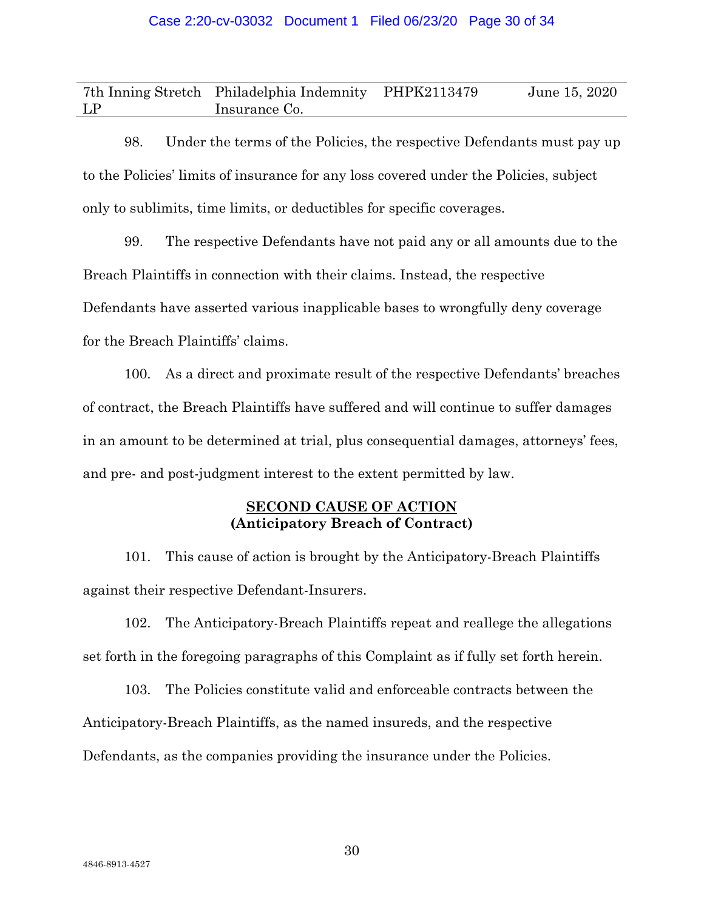|    | 7th Inning Stretch Philadelphia Indemnity PHPK2113479 | June 15, 2020 |
|----|-------------------------------------------------------|---------------|
| LP | Insurance Co.                                         |               |

98. Under the terms of the Policies, the respective Defendants must pay up to the Policies' limits of insurance for any loss covered under the Policies, subject only to sublimits, time limits, or deductibles for specific coverages.

99. The respective Defendants have not paid any or all amounts due to the Breach Plaintiffs in connection with their claims. Instead, the respective Defendants have asserted various inapplicable bases to wrongfully deny coverage for the Breach Plaintiffs' claims.

100. As a direct and proximate result of the respective Defendants' breaches of contract, the Breach Plaintiffs have suffered and will continue to suffer damages in an amount to be determined at trial, plus consequential damages, attorneys' fees, and pre- and post-judgment interest to the extent permitted by law.

# **SECOND CAUSE OF ACTION (Anticipatory Breach of Contract)**

101. This cause of action is brought by the Anticipatory-Breach Plaintiffs against their respective Defendant-Insurers.

102. The Anticipatory-Breach Plaintiffs repeat and reallege the allegations set forth in the foregoing paragraphs of this Complaint as if fully set forth herein.

103. The Policies constitute valid and enforceable contracts between the Anticipatory-Breach Plaintiffs, as the named insureds, and the respective Defendants, as the companies providing the insurance under the Policies.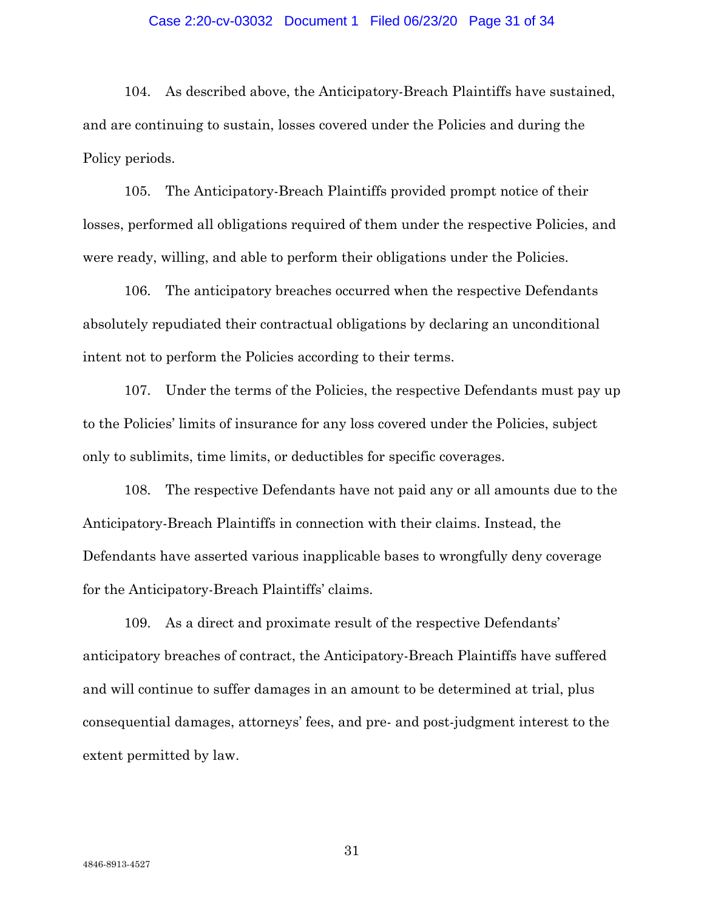## Case 2:20-cv-03032 Document 1 Filed 06/23/20 Page 31 of 34

104. As described above, the Anticipatory-Breach Plaintiffs have sustained, and are continuing to sustain, losses covered under the Policies and during the Policy periods.

105. The Anticipatory-Breach Plaintiffs provided prompt notice of their losses, performed all obligations required of them under the respective Policies, and were ready, willing, and able to perform their obligations under the Policies.

106. The anticipatory breaches occurred when the respective Defendants absolutely repudiated their contractual obligations by declaring an unconditional intent not to perform the Policies according to their terms.

107. Under the terms of the Policies, the respective Defendants must pay up to the Policies' limits of insurance for any loss covered under the Policies, subject only to sublimits, time limits, or deductibles for specific coverages.

108. The respective Defendants have not paid any or all amounts due to the Anticipatory-Breach Plaintiffs in connection with their claims. Instead, the Defendants have asserted various inapplicable bases to wrongfully deny coverage for the Anticipatory-Breach Plaintiffs' claims.

109. As a direct and proximate result of the respective Defendants' anticipatory breaches of contract, the Anticipatory-Breach Plaintiffs have suffered and will continue to suffer damages in an amount to be determined at trial, plus consequential damages, attorneys' fees, and pre- and post-judgment interest to the extent permitted by law.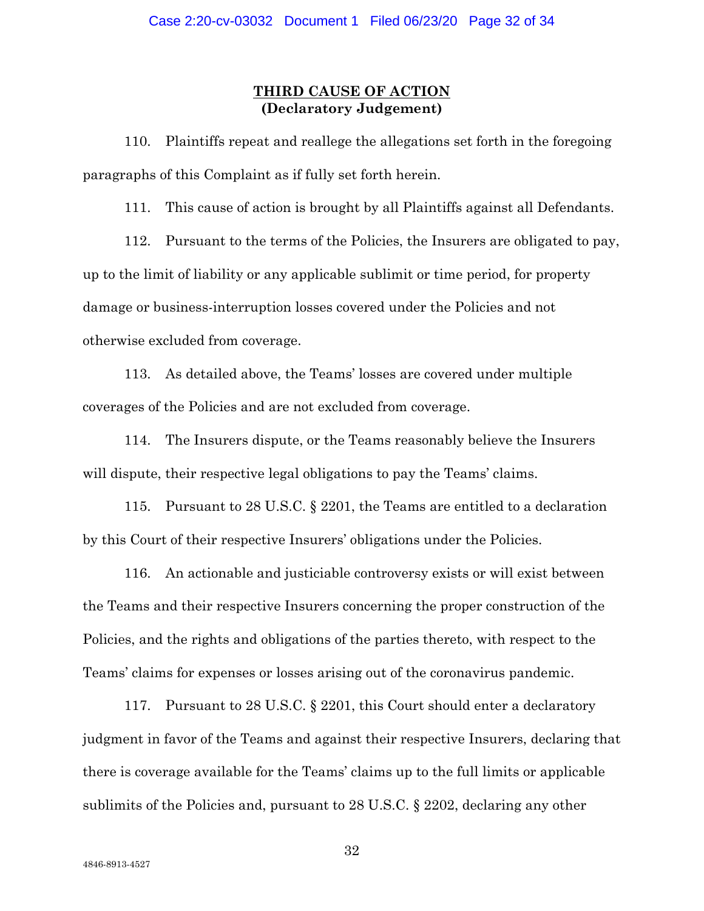# **THIRD CAUSE OF ACTION (Declaratory Judgement)**

110. Plaintiffs repeat and reallege the allegations set forth in the foregoing paragraphs of this Complaint as if fully set forth herein.

111. This cause of action is brought by all Plaintiffs against all Defendants.

112. Pursuant to the terms of the Policies, the Insurers are obligated to pay, up to the limit of liability or any applicable sublimit or time period, for property damage or business-interruption losses covered under the Policies and not otherwise excluded from coverage.

113. As detailed above, the Teams' losses are covered under multiple coverages of the Policies and are not excluded from coverage.

114. The Insurers dispute, or the Teams reasonably believe the Insurers will dispute, their respective legal obligations to pay the Teams' claims.

115. Pursuant to 28 U.S.C. § 2201, the Teams are entitled to a declaration by this Court of their respective Insurers' obligations under the Policies.

116. An actionable and justiciable controversy exists or will exist between the Teams and their respective Insurers concerning the proper construction of the Policies, and the rights and obligations of the parties thereto, with respect to the Teams' claims for expenses or losses arising out of the coronavirus pandemic.

117. Pursuant to 28 U.S.C. § 2201, this Court should enter a declaratory judgment in favor of the Teams and against their respective Insurers, declaring that there is coverage available for the Teams' claims up to the full limits or applicable sublimits of the Policies and, pursuant to 28 U.S.C. § 2202, declaring any other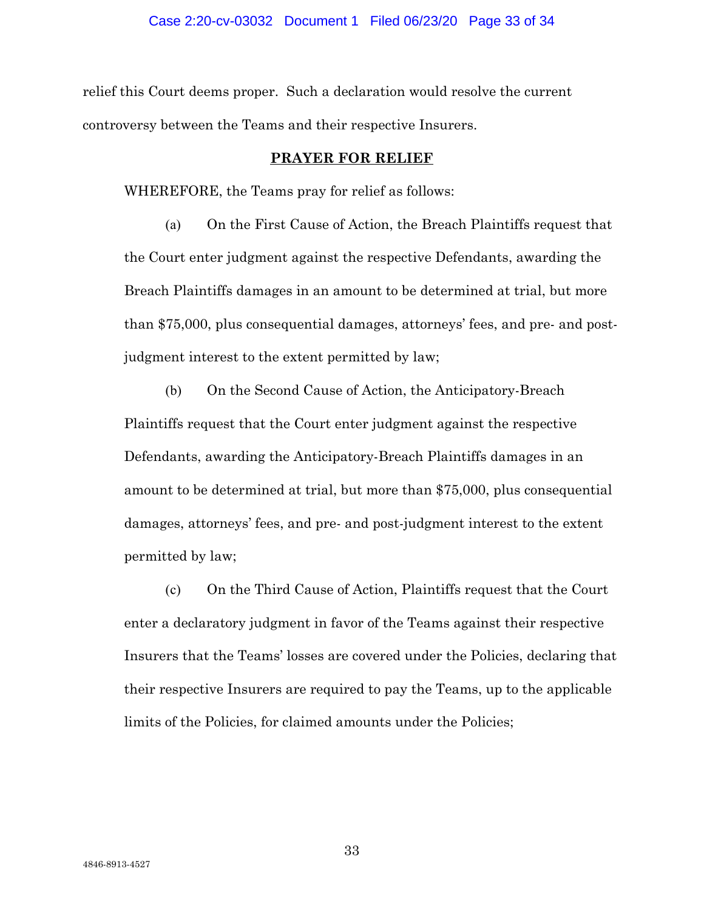relief this Court deems proper. Such a declaration would resolve the current controversy between the Teams and their respective Insurers.

# **PRAYER FOR RELIEF**

WHEREFORE, the Teams pray for relief as follows:

(a) On the First Cause of Action, the Breach Plaintiffs request that the Court enter judgment against the respective Defendants, awarding the Breach Plaintiffs damages in an amount to be determined at trial, but more than \$75,000, plus consequential damages, attorneys' fees, and pre- and postjudgment interest to the extent permitted by law;

(b) On the Second Cause of Action, the Anticipatory-Breach Plaintiffs request that the Court enter judgment against the respective Defendants, awarding the Anticipatory-Breach Plaintiffs damages in an amount to be determined at trial, but more than \$75,000, plus consequential damages, attorneys' fees, and pre- and post-judgment interest to the extent permitted by law;

(c) On the Third Cause of Action, Plaintiffs request that the Court enter a declaratory judgment in favor of the Teams against their respective Insurers that the Teams' losses are covered under the Policies, declaring that their respective Insurers are required to pay the Teams, up to the applicable limits of the Policies, for claimed amounts under the Policies;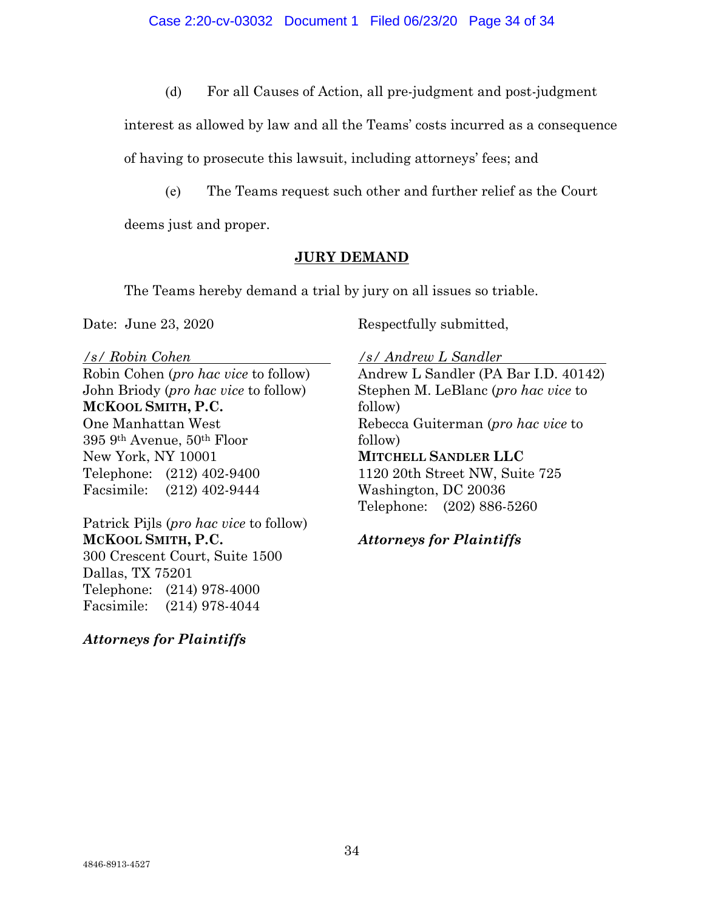(d) For all Causes of Action, all pre-judgment and post-judgment

interest as allowed by law and all the Teams' costs incurred as a consequence

of having to prosecute this lawsuit, including attorneys' fees; and

(e) The Teams request such other and further relief as the Court

deems just and proper.

# **JURY DEMAND**

The Teams hereby demand a trial by jury on all issues so triable.

Date: June 23, 2020

Respectfully submitted,

*/s/ Robin Cohen* 

Robin Cohen (*pro hac vice* to follow) John Briody (*pro hac vice* to follow) **MCKOOL SMITH, P.C.** One Manhattan West 395 9th Avenue, 50th Floor New York, NY 10001 Telephone: (212) 402-9400 Facsimile: (212) 402-9444

Patrick Pijls (*pro hac vice* to follow) **MCKOOL SMITH, P.C.** 300 Crescent Court, Suite 1500 Dallas, TX 75201 Telephone: (214) 978-4000 Facsimile: (214) 978-4044

*Attorneys for Plaintiffs*

*/s/ Andrew L Sandler* 

Andrew L Sandler (PA Bar I.D. 40142) Stephen M. LeBlanc (*pro hac vice* to follow) Rebecca Guiterman (*pro hac vice* to follow) **MITCHELL SANDLER LLC**  1120 20th Street NW, Suite 725 Washington, DC 20036 Telephone: (202) 886-5260

*Attorneys for Plaintiffs*